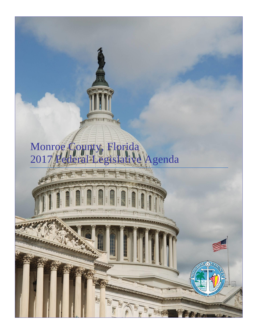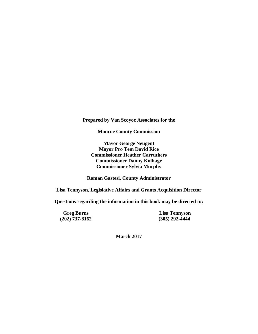**Prepared by Van Scoyoc Associates for the**

**Monroe County Commission**

**Mayor George Neugent Mayor Pro Tem David Rice Commissioner Heather Carruthers Commissioner Danny Kolhage Commissioner Sylvia Murphy**

**Roman Gastesi, County Administrator**

**Lisa Tennyson, Legislative Affairs and Grants Acquisition Director**

**Questions regarding the information in this book may be directed to:**

**(202) 737-8162 (305) 292-4444**

**Greg Burns Lisa Tennyson**<br>202) 737-8162 (305) 292-4444

**March 2017**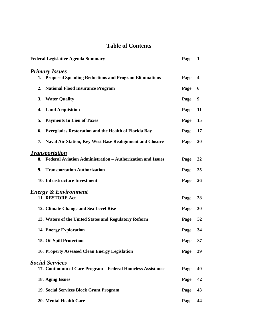# **Table of Contents**

| <b>Federal Legislative Agenda Summary</b>                         | Page | 1         |
|-------------------------------------------------------------------|------|-----------|
| <b>Primary Issues</b>                                             |      |           |
| 1. Proposed Spending Reductions and Program Eliminations          | Page | 4         |
| 2. National Flood Insurance Program                               | Page | 6         |
| 3. Water Quality                                                  | Page | 9         |
| 4. Land Acquisition                                               | Page | 11        |
| 5. Payments In Lieu of Taxes                                      | Page | 15        |
| <b>Everglades Restoration and the Health of Florida Bay</b><br>6. | Page | 17        |
| 7. Naval Air Station, Key West Base Realignment and Closure       | Page | 20        |
| <b>Transportation</b>                                             |      |           |
| 8. Federal Aviation Administration - Authorization and Issues     | Page | 22        |
| 9. Transportation Authorization                                   | Page | 25        |
| 10. Infrastructure Investment                                     | Page | <b>26</b> |
| <b>Energy &amp; Environment</b>                                   |      |           |
| 11. RESTORE Act                                                   | Page | 28        |
| 12. Climate Change and Sea Level Rise                             | Page | 30        |
| 13. Waters of the United States and Regulatory Reform             | Page | 32        |
| 14. Energy Exploration                                            | Page | 34        |
| 15. Oil Spill Protection                                          | Page | 37        |
| 16. Property Assessed Clean Energy Legislation                    | Page | 39        |
| <b>Social Services</b>                                            |      |           |
| 17. Continuum of Care Program – Federal Homeless Assistance       | Page | 40        |
| 18. Aging Issues                                                  | Page | 42        |
| 19. Social Services Block Grant Program                           | Page | 43        |
| 20. Mental Health Care                                            | Page | 44        |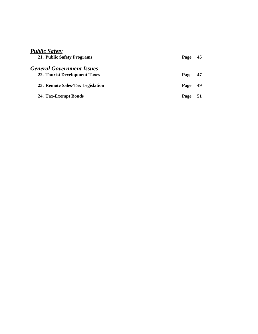| <b>Public Safety</b><br>21. Public Safety Programs                | Page | 45 |
|-------------------------------------------------------------------|------|----|
| <b>General Government Issues</b><br>22. Tourist Development Taxes | Page | 47 |
| 23. Remote Sales-Tax Legislation                                  | Page | 49 |
| 24. Tax-Exempt Bonds                                              | Page | 51 |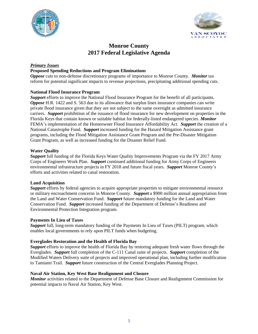



# **Monroe County 2017 Federal Legislative Agenda**

### *Primary Issues*

### **Proposed Spending Reductions and Program Eliminations**

*Oppose* cuts to non-defense discretionary programs of importance to Monroe County. *Monitor* tax reform for potential significant impacts to revenue projections, precipitating additional spending cuts.

### **National Flood Insurance Program**

*Support* efforts to improve the National Flood Insurance Program for the benefit of all participants. *Oppose* H.R. 1422 and S. 563 due to its allowance that surplus lines insurance companies can write private flood insurance given that they are not subject to the same oversight as admitted insurance carriers. *Support* prohibition of the issuance of flood insurance for new development on properties in the Florida Keys that contain known or suitable habitat for federally-listed endangered species. *Monitor* FEMA's implementation of the Homeowner Flood Insurance Affordability Act. *Support* the creation of a National Catastrophe Fund. *Support* increased funding for the Hazard Mitigation Assistance grant programs, including the Flood Mitigation Assistance Grant Program and the Pre-Disaster Mitigation Grant Program, as well as increased funding for the Disaster Relief Fund.

### **Water Quality**

*Support* full funding of the Florida Keys Water Quality Improvements Program via the FY 2017 Army Corps of Engineers Work Plan. *Support* continued additional funding for Army Corps of Engineers environmental infrastructure projects in FY 2018 and future fiscal years. *Support* Monroe County's efforts and activities related to canal restoration.

### **Land Acquisition**

*Support* efforts by federal agencies to acquire appropriate properties to mitigate environmental resource or military encroachment concerns in Monroe County. *Support* a \$900 million annual appropriation from the Land and Water Conservation Fund. *Support* future mandatory funding for the Land and Water Conservation Fund. *Support* increased funding of the Department of Defense's Readiness and Environmental Protection Integration program.

### **Payments In Lieu of Taxes**

*Support* full, long-term mandatory funding of the Payments In Lieu of Taxes (PILT) program, which enables local governments to rely upon PILT funds when budgeting.

### **Everglades Restoration and the Health of Florida Bay**

*Support* efforts to improve the health of Florida Bay by restoring adequate fresh water flows through the Everglades. *Support* full completion of the C-111 Canal suite of projects. *Support* completion of the Modified Waters Delivery suite of projects and improved operational plan, including further modification to Tamiami Trail. *Support* future construction of the Central Everglades Planning Project.

### **Naval Air Station, Key West Base Realignment and Closure**

*Monitor* activities related to the Department of Defense Base Closure and Realignment Commission for potential impacts to Naval Air Station, Key West.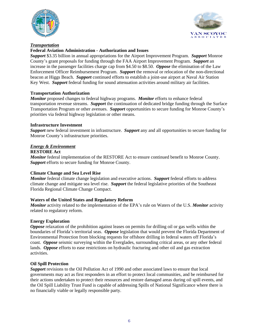



### *Transportation*

### **Federal Aviation Administration - Authorization and Issues**

*Support* \$3.35 billion in annual appropriations for the Airport Improvement Program. *Support* Monroe County's grant proposals for funding through the FAA Airport Improvement Program. *Support* an increase in the passenger facilities charge cap from \$4.50 to \$8.50. *Oppose* the elimination of the Law Enforcement Officer Reimbursement Program. *Support* the removal or relocation of the non-directional beacon at Higgs Beach. *Support* continued efforts to establish a joint-use airport at Naval Air Station Key West. *Support* federal funding for sound attenuation activities around military air facilities.

### **Transportation Authorization**

*Monitor* proposed changes to federal highway programs. *Monitor* efforts to enhance federal transportation revenue streams. *Support* the continuation of dedicated bridge funding through the Surface Transportation Program or other avenues. *Support* opportunities to secure funding for Monroe County's priorities via federal highway legislation or other means.

### **Infrastructure Investment**

*Support* new federal investment in infrastructure. *Support* any and all opportunities to secure funding for Monroe County's infrastructure priorities.

### *Energy & Environment*

### **RESTORE Act**

*Monitor* federal implementation of the RESTORE Act to ensure continued benefit to Monroe County. *Support* efforts to secure funding for Monroe County.

### **Climate Change and Sea Level Rise**

*Monitor* federal climate change legislation and executive actions. *Support* federal efforts to address climate change and mitigate sea level rise. *Support* the federal legislative priorities of the Southeast Florida Regional Climate Change Compact.

### **Waters of the United States and Regulatory Reform**

*Monitor* activity related to the implementation of the EPA's rule on Waters of the U.S. *Monitor* activity related to regulatory reform.

### **Energy Exploration**

*Oppose* relaxation of the prohibition against leases on permits for drilling oil or gas wells within the boundaries of Florida's territorial seas. *Oppose* legislation that would prevent the Florida Department of Environmental Protection from blocking requests for offshore drilling in federal waters off Florida's coast. *Oppose* seismic surveying within the Everglades, surrounding critical areas, or any other federal lands. **Oppose** efforts to ease restrictions on hydraulic fracturing and other oil and gas extraction activities.

### **Oil Spill Protection**

*Support* revisions to the Oil Pollution Act of 1990 and other associated laws to ensure that local governments may act as first responders in an effort to protect local communities, and be reimbursed for their actions undertaken to protect their resources and restore damaged areas during oil spill events, and the Oil Spill Liability Trust Fund is capable of addressing Spills of National Significance where there is no financially viable or legally responsible party.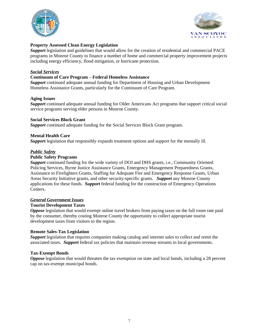



### **Property Assessed Clean Energy Legislation**

*Support* legislation and guidelines that would allow for the creation of residential and commercial PACE programs in Monroe County to finance a number of home and commercial property improvement projects including energy efficiency, flood mitigation, or hurricane protection.

### *Social Services*

### **Continuum of Care Program – Federal Homeless Assistance**

*Support* continued adequate annual funding for Department of Housing and Urban Development Homeless Assistance Grants, particularly for the Continuum of Care Program.

#### **Aging Issues**

*Support* continued adequate annual funding for Older Americans Act programs that support critical social service programs serving elder persons in Monroe County.

#### **Social Services Block Grant**

*Support* continued adequate funding for the Social Services Block Grant program.

### **Mental Health Care**

*Support* legislation that responsibly expands treatment options and support for the mentally ill.

### *Public Safety*

#### **Public Safety Programs**

*Support* continued funding for the wide variety of DOJ and DHS grants, i.e., Community Oriented Policing Services, Byrne Justice Assistance Grants, Emergency Management Preparedness Grants, Assistance to Firefighters Grants, Staffing for Adequate Fire and Emergency Response Grants, Urban Areas Security Initiative grants, and other security-specific grants. *Support* any Monroe County applications for these funds. *Support* federal funding for the construction of Emergency Operations Centers.

### *General Government Issues*

### **Tourist Development Taxes**

*Oppose* legislation that would exempt online travel brokers from paying taxes on the full room rate paid by the consumer, thereby costing Monroe County the opportunity to collect appropriate tourist development taxes from visitors to the region.

### **Remote Sales-Tax Legislation**

*Support* legislation that requires companies making catalog and internet sales to collect and remit the associated taxes. *Support* federal tax policies that maintain revenue streams to local governments.

### **Tax-Exempt Bonds**

*Oppose* legislation that would threaten the tax exemption on state and local bonds, including a 28 percent cap on tax-exempt municipal bonds.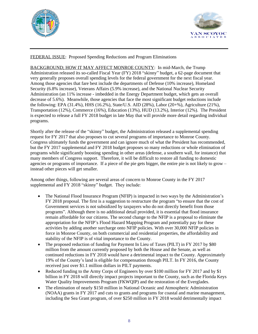



# FEDERAL ISSUE: Proposed Spending Reductions and Program Eliminations

BACKGROUND; HOW IT MAY AFFECT MONROE COUNTY: In mid-March, the Trump Administration released its so-called Fiscal Year (FY) 2018 "skinny" budget, a 62-page document that very generally proposes overall spending levels for the federal government for the next fiscal year. Among those agencies that fare best include the departments of Defense (10% increase), Homeland Security (6.8% increase), Veterans Affairs (5.9% increase), and the National Nuclear Security Administration (an 11% increase - imbedded in the Energy Department budget, which gets an overall decrease of 5.6%). Meanwhile, those agencies that face the most significant budget reductions include the following: EPA (31.4%), HHS (16.2%), State/U.S. AID (28%), Labor (20+%), Agriculture (21%), Transportation (12%), Commerce (16%), Education (13%), HUD (13.2%), Interior (12%). The President is expected to release a full FY 2018 budget in late May that will provide more detail regarding individual programs.

Shortly after the release of the "skinny" budget, the Administration released a supplemental spending request for FY 2017 that also proposes to cut several programs of importance to Monroe County. Congress ultimately funds the government and can ignore much of what the President has recommended, but the FY 2017 supplemental and FY 2018 budget proposes so many reductions or whole elimination of programs while significantly boosting spending in other areas (defense, a southern wall, for instance) that many members of Congress support. Therefore, it will be difficult to restore all funding to domestic agencies or programs of importance. If a piece of the pie gets bigger, the entire pie is not likely to grow – instead other pieces will get smaller.

Among other things, following are several areas of concern to Monroe County in the FY 2017 supplemental and FY 2018 "skinny" budget. They include:

- The National Flood Insurance Program (NFIP) is impacted in two ways by the Administration's FY 2018 proposal. The first is a suggestion to restructure the program "to ensure that the cost of Government services is not subsidized by taxpayers who do not directly benefit from those programs". Although there is no additional detail provided, it is essential that flood insurance remain affordable for our citizens. The second change to the NFIP is a proposal to eliminate the appropriation for the NFIP's Flood Hazard Mapping Program and potentially pay for these activities by adding another surcharge onto NFIP policies. With over 30,000 NFIP policies in force in Monroe County, on both commercial and residential properties, the affordability and stability of the NFIP is of vital importance to the County.
- The proposed reduction of funding for Payment In Lieu of Taxes (PILT) in FY 2017 by \$80 million from the amount currently proposed by both the House and the Senate, as well as continued reductions in FY 2018 would have a detrimental impact to the County. Approximately 19% of the County's land is eligible for compensation through PILT. In FY 2016, the County received just over \$1.1 million dollars in PILT payments.
- Reduced funding to the Army Corps of Engineers by over \$100 million for FY 2017 and by \$1 billion in FY 2018 will directly impact projects important to the County, such as the Florida Keys Water Quality Improvements Program (FKWQIP) and the restoration of the Everglades.
- The elimination of nearly \$150 million in National Oceanic and Atmospheric Administration (NOAA) grants in FY 2017 and cuts to grants and programs for coastal and marine management, including the Sea Grant program, of over \$250 million in FY 2018 would detrimentally impact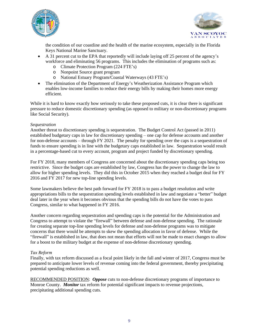



the condition of our coastline and the health of the marine ecosystem, especially in the Florida Keys National Marine Sanctuary.

- A 31 percent cut to the EPA that reportedly will include laying off 25 percent of the agency's workforce and eliminating 56 programs. This includes the elimination of programs such as:
	- o Climate Protection Program (224 FTE's)
	- o Nonpoint Source grant program
	- o National Estuary Program/Coastal Waterways (43 FTE's)
- The elimination of the Department of Energy's Weatherization Assistance Program which enables low-income families to reduce their energy bills by making their homes more energy efficient.

While it is hard to know exactly how seriously to take these proposed cuts, it is clear there is significant pressure to reduce domestic discretionary spending (as opposed to military or non-discretionary programs like Social Security).

### *Sequestration*

Another threat to discretionary spending is sequestration. The Budget Control Act (passed in 2011) established budgetary caps in law for discretionary spending – one cap for defense accounts and another for non-defense accounts – through FY 2021. The penalty for spending over the caps is a sequestration of funds to ensure spending is in line with the budgetary caps established in law. Sequestration would result in a percentage-based cut to every account, program and project funded by discretionary spending.

For FY 2018, many members of Congress are concerned about the discretionary spending caps being too restrictive. Since the budget caps are established by law, Congress has the power to change the law to allow for higher spending levels. They did this in October 2015 when they reached a budget deal for FY 2016 and FY 2017 for new top-line spending levels.

Some lawmakers believe the best path forward for FY 2018 is to pass a budget resolution and write appropriations bills to the sequestration spending levels established in law and negotiate a "better" budget deal later in the year when it becomes obvious that the spending bills do not have the votes to pass Congress, similar to what happened in FY 2016.

Another concern regarding sequestration and spending caps is the potential for the Administration and Congress to attempt to violate the "firewall" between defense and non-defense spending. The rationale for creating separate top-line spending levels for defense and non-defense programs was to mitigate concerns that there would be attempts to skew the spending allocation in favor of defense. While the "firewall" is established in law, that does not mean that efforts will not be made to enact changes to allow for a boost to the military budget at the expense of non-defense discretionary spending.

### *Tax Reform*

Finally, with tax reform discussed as a focal point likely in the fall and winter of 2017, Congress must be prepared to anticipate lower levels of revenue coming into the federal government, thereby precipitating potential spending reductions as well.

RECOMMENDED POSITION: *Oppose* cuts to non-defense discretionary programs of importance to Monroe County. *Monitor* tax reform for potential significant impacts to revenue projections, precipitating additional spending cuts.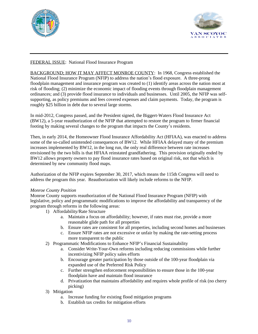



### FEDERAL ISSUE: National Flood Insurance Program

BACKGROUND; HOW IT MAY AFFECT MONROE COUNTY: In 1968, Congress established the National Flood Insurance Program (NFIP) to address the nation's flood exposure. A three-prong floodplain management and insurance program was created to (1) identify areas across the nation most at risk of flooding; (2) minimize the economic impact of flooding events through floodplain management ordinances; and (3) provide flood insurance to individuals and businesses. Until 2005, the NFIP was selfsupporting, as policy premiums and fees covered expenses and claim payments. Today, the program is roughly \$25 billion in debt due to several large storms.

In mid-2012, Congress passed, and the President signed, the Biggert-Waters Flood Insurance Act (BW12), a 5-year reauthorization of the NFIP that attempted to restore the program to firmer financial footing by making several changes to the program that impacts the County's residents.

Then, in early 2014, the Homeowner Flood Insurance Affordability Act (HFIAA), was enacted to address some of the so-called unintended consequences of BW12. While HFIAA delayed many of the premium increases implemented by BW12, in the long run, the only real difference between rate increases envisioned by the two bills is that HFIAA reinstated grandfathering. This provision originally ended by BW12 allows property owners to pay flood insurance rates based on original risk, not that which is determined by new community flood maps.

Authorization of the NFIP expires September 30, 2017, which means the 115th Congress will need to address the program this year. Reauthorization will likely include reforms to the NFIP.

### *Monroe County Position*

Monroe County supports reauthorization of the National Flood Insurance Program (NFIP) with legislative, policy and programmatic modifications to improve the affordability and transparency of the program through reforms in the following areas:

- 1) Affordability/Rate Structure
	- a. Maintain a focus on affordability; however, if rates must rise, provide a more reasonable glide path for all properties
	- b. Ensure rates are consistent for all properties, including second homes and businesses
	- c. Ensure NFIP rates are not excessive or unfair by making the rate-setting process more transparent to the public
- 2) Programmatic Modifications to Enhance NFIP's Financial Sustainability
	- a. Consider Write-Your-Own reforms including reducing commissions while further incentivizing NFIP policy sales efforts
	- b. Encourage greater participation by those outside of the 100-year floodplain via expanded use of the Preferred Risk Policy
	- c. Further strengthen enforcement responsibilities to ensure those in the 100-year floodplain have and maintain flood insurance
	- d. Privatization that maintains affordability and requires whole profile of risk (no cherry picking)
- 3) Mitigation
	- a. Increase funding for existing flood mitigation programs
	- b. Establish tax credits for mitigation efforts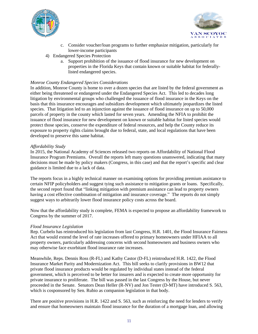



- c. Consider voucher/loan programs to further emphasize mitigation, particularly for lower-income participants
- 4) Endangered Species Protection
	- a. Support prohibition of the issuance of flood insurance for new development on properties in the Florida Keys that contain known or suitable habitat for federallylisted endangered species.

### *Monroe County Endangered Species Considerations*

In addition, Monroe County is home to over a dozen species that are listed by the federal government as either being threatened or endangered under the Endangered Species Act. This led to decades long litigation by environmental groups who challenged the issuance of flood insurance in the Keys on the basis that this insurance encourages and subsidizes development which ultimately jeopardizes the listed species. That litigation led to an injunction against the issuance of flood insurance on up to 50,000 parcels of property in the county which lasted for seven years. Amending the NFIA to prohibit the issuance of flood insurance for new development on known or suitable habitat for listed species would protect those species, conserve the expenditure of federal resources, and help the County reduce its exposure to property rights claims brought due to federal, state, and local regulations that have been developed to preserve this same habitat.

### *Affordability Study*

In 2015, the National Academy of Sciences released two reports on Affordability of National Flood Insurance Program Premiums. Overall the reports left many questions unanswered, indicating that many decisions must be made by policy makers (Congress, in this case) and that the report's specific and clear guidance is limited due to a lack of data.

The reports focus in a highly technical manner on examining options for providing premium assistance to certain NFIP policyholders and suggest tying such assistance to mitigation grants or loans. Specifically, the second report found that "linking mitigation with premium assistance can lead to property owners having a cost effective combination of mitigation and insurance coverage." The reports do not simply suggest ways to arbitrarily lower flood insurance policy costs across the board.

Now that the affordability study is complete, FEMA is expected to propose an affordability framework to Congress by the summer of 2017.

### *Flood Insurance Legislation*

Rep. Curbelo has reintroduced his legislation from last Congress, H.R. 1401, the Flood Insurance Fairness Act that would extend the level of rate increases offered to primary homeowners under HFIAA to all property owners, particularly addressing concerns with second homeowners and business owners who may otherwise face exorbitant flood insurance rate increases.

Meanwhile, Reps. Dennis Ross (R-FL) and Kathy Castor (D-FL) reintroduced H.R. 1422, the Flood Insurance Market Parity and Modernization Act. This bill seeks to clarify provisions in BW12 that private flood insurance products would be regulated by individual states instead of the federal government, which is perceived to be better for insurers and is expected to create more opportunity for private insurance to proliferate. The bill was passed in the last Congress by the House, but never proceeded in the Senate. Senators Dean Heller (R-NV) and Jon Tester (D-MT) have introduced S. 563, which is cosponsored by Sen. Rubio as companion legislation in that body.

There are positive provisions in H.R. 1422 and S. 563, such as reinforcing the need for lenders to verify and ensure that homeowners maintain flood insurance for the duration of a mortgage loan, and allowing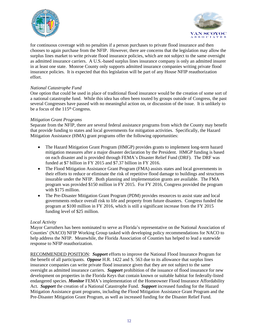



for continuous coverage with no penalties if a person purchases to private flood insurance and then chooses to again purchase from the NFIP. However, there are concerns that the legislation may allow the surplus lines market to write private flood insurance policies, which are not subject to the same oversight as admitted insurance carriers. A U.S.-based surplus lines insurance company is only an admitted insurer in at least one state. Monroe County only supports admitted insurance companies writing private flood insurance policies. It is expected that this legislation will be part of any House NFIP reauthorization effort.

### *National Catastrophe Fund*

One option that could be used in place of traditional flood insurance would be the creation of some sort of a national catastrophe fund. While this idea has often been touted by groups outside of Congress, the past several Congresses have passed with no meaningful action on, or discussion of the issue. It is unlikely to be a focus of the 115<sup>th</sup> Congress.

### *Mitigation Grant Programs*

Separate from the NFIP, there are several federal assistance programs from which the County may benefit that provide funding to states and local governments for mitigation activities. Specifically, the Hazard Mitigation Assistance (HMA) grant programs offer the following opportunities:

- The Hazard Mitigation Grant Program (HMGP) provides grants to implement long-term hazard mitigation measures after a major disaster declaration by the President. HMGP funding is based on each disaster and is provided through FEMA's Disaster Relief Fund (DRF). The DRF was funded at \$7 billion in FY 2015 and \$7.37 billion in FY 2016.
- The Flood Mitigation Assistance Grant Program (FMA) assists states and local governments in their efforts to reduce or eliminate the risk of repetitive flood damage to buildings and structures insurable under the NFIP. Both planning and implementation grants are available. The FMA program was provided \$150 million in FY 2015. For FY 2016, Congress provided the program with \$175 million.
- The Pre-Disaster Mitigation Grant Program (PDM) provides resources to assist state and local governments reduce overall risk to life and property from future disasters. Congress funded the program at \$100 million in FY 2016, which is still a significant increase from the FY 2015 funding level of \$25 million.

### *Local Activity*

Mayor Carruthers has been nominated to serve as Florida's representative on the National Association of Counties' (NACO) NFIP Working Group tasked with developing policy recommendations for NACO to help address the NFIP. Meanwhile, the Florida Association of Counties has helped to lead a statewide response to NFIP reauthorization.

RECOMMENDED POSITION: *Support* efforts to improve the National Flood Insurance Program for the benefit of all participants. *Oppose* H.R. 1422 and S. 563 due to its allowance that surplus lines insurance companies can write private flood insurance given that they are not subject to the same oversight as admitted insurance carriers. *Support* prohibition of the issuance of flood insurance for new development on properties in the Florida Keys that contain known or suitable habitat for federally-listed endangered species. *Monitor* FEMA's implementation of the Homeowner Flood Insurance Affordability Act. *Support* the creation of a National Catastrophe Fund. *Support* increased funding for the Hazard Mitigation Assistance grant programs, including the Flood Mitigation Assistance Grant Program and the Pre-Disaster Mitigation Grant Program, as well as increased funding for the Disaster Relief Fund.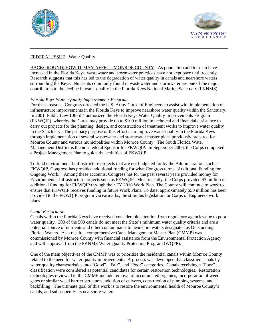



# FEDERAL ISSUE: Water Quality

BACKGROUND; HOW IT MAY AFFECT MONROE COUNTY: As population and tourism have increased in the Florida Keys, wastewater and stormwater practices have not kept pace until recently. Research suggests that this has led to the degradation of water quality in canals and nearshore waters surrounding the Keys. Nutrients commonly found in wastewater and stormwater are one of the major contributors to the decline in water quality in the Florida Keys National Marine Sanctuary (FKNMS).

# *Florida Keys Water Quality Improvements Program*

For these reasons, Congress directed the U.S. Army Corps of Engineers to assist with implementation of infrastructure improvements in the Florida Keys to improve nearshore water quality within the Sanctuary. In 2001, Public Law 106-554 authorized the Florida Keys Water Quality Improvements Program (FKWQIP), whereby the Corps may provide up to \$100 million in technical and financial assistance to carry out projects for the planning, design, and construction of treatment works to improve water quality in the Sanctuary. The primary purpose of this effort is to improve water quality in the Florida Keys through implementation of several wastewater and stormwater master plans previously prepared for Monroe County and various municipalities within Monroe County. The South Florida Water Management District is the non-federal Sponsor for FKWQIP. In September 2006, the Corps completed a Project Management Plan to guide the activities of FKWQIP.

To fund environmental infrastructure projects that are not budgeted for by the Administration, such as FKWQIP, Congress has provided additional funding for what Congress terms "Additional Funding for Ongoing Work." Among these accounts, Congress has for the past several years provided money for Environmental Infrastructure projects such as FKWQIP. Most recently, the Corps provided \$3 million in additional funding for FKWQIP through their FY 2016 Work Plan. The County will continue to work to ensure that FKWQIP receives funding in future Work Plans. To date, approximately \$50 million has been provided to the FKWQIP program via earmarks, the stimulus legislation, or Corps of Engineers work plans.

### *Canal Restoration*

Canals within the Florida Keys have received considerable attention from regulatory agencies due to poor water quality. 300 of the 500 canals do not meet the State's minimum water quality criteria and are a potential source of nutrients and other contaminants to nearshore waters designated as Outstanding Florida Waters. As a result, a comprehensive Canal Management Master Plan (CMMP) was commissioned by Monroe County with financial assistance from the Environmental Protection Agency and with approval from the FKNMS Water Quality Protection Program (WQPP).

One of the main objectives of the CMMP was to prioritize the residential canals within Monroe County related to the need for water quality improvements. A process was developed that classified canals by water quality characteristics into "Good", "Fair", and "Poor" categories. Canals receiving a "Poor" classification were considered as potential candidates for certain restoration technologies. Restoration technologies reviewed in the CMMP include removal of accumulated organics, incorporation of weed gates or similar weed barrier structures, addition of culverts, construction of pumping systems, and backfilling. The ultimate goal of this work is to restore the environmental health of Monroe County's canals, and subsequently its nearshore waters.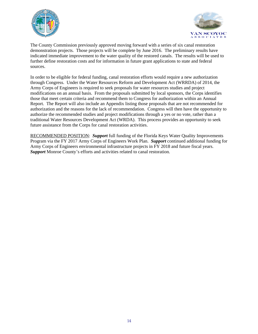



The County Commission previously approved moving forward with a series of six canal restoration demonstration projects. Those projects will be complete by June 2016. The preliminary results have indicated immediate improvement to the water quality of the restored canals. The results will be used to further define restoration costs and for information in future grant applications to state and federal sources.

In order to be eligible for federal funding, canal restoration efforts would require a new authorization through Congress. Under the Water Resources Reform and Development Act (WRRDA) of 2014, the Army Corps of Engineers is required to seek proposals for water resources studies and project modifications on an annual basis. From the proposals submitted by local sponsors, the Corps identifies those that meet certain criteria and recommend them to Congress for authorization within an Annual Report. The Report will also include an Appendix listing those proposals that are not recommended for authorization and the reasons for the lack of recommendation. Congress will then have the opportunity to authorize the recommended studies and project modifications through a yes or no vote, rather than a traditional Water Resources Development Act (WRDA). This process provides an opportunity to seek future assistance from the Corps for canal restoration activities.

RECOMMENDED POSITION: *Support* full funding of the Florida Keys Water Quality Improvements Program via the FY 2017 Army Corps of Engineers Work Plan. *Support* continued additional funding for Army Corps of Engineers environmental infrastructure projects in FY 2018 and future fiscal years. *Support* Monroe County's efforts and activities related to canal restoration.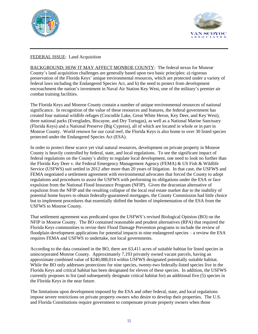



# FEDERAL ISSUE: Land Acquisition

BACKGROUND; HOW IT MAY AFFECT MONROE COUNTY: The federal nexus for Monroe County's land acquisition challenges are generally based upon two basic principles: a) rigorous preservation of the Florida Keys' unique environmental resources, which are protected under a variety of federal laws including the Endangered Species Act, and b) the need to protect from development encroachment the nation's investment in Naval Air Station Key West, one of the military's premier air combat training facilities.

The Florida Keys and Monroe County contain a number of unique environmental resources of national significance. In recognition of the value of these resources and features, the federal government has created four national wildlife refuges (Crocodile Lake, Great White Heron, Key Deer, and Key West), three national parks (Everglades, Biscayne, and Dry Tortugas), as well as a National Marine Sanctuary (Florida Keys) and a National Preserve (Big Cypress), all of which are located in whole or in part in Monroe County. World renown for our coral reef, the Florida Keys is also home to over 30 listed species protected under the Endangered Species Act (ESA).

In order to protect these scarce yet vital natural resources, development on private property in Monroe County is heavily controlled by federal, state, and local regulations. To see the significant impact of federal regulations on the County's ability to regulate local development, one need to look no further than the Florida Key Deer v. the Federal Emergency Management Agency (FEMA) & US Fish & Wildlife Service (USFWS) suit settled in 2012 after more than 20 years of litigation. In that case, the USFWS and FEMA negotiated a settlement agreement with environmental advocates that forced the County to adopt regulations and procedures to assist the USFWS with performing its obligations under the ESA or face expulsion from the National Flood Insurance Program (NFIP). Given the draconian alternative of expulsion from the NFIP and the resulting collapse of the local real estate market due to the inability of potential home buyers to obtain federally-guaranteed mortgages, the County Commission had little choice but to implement procedures that essentially shifted the burden of implementation of the ESA from the USFWS to Monroe County.

That settlement agreement was predicated upon the USFWS's revised Biological Opinion (BO) on the NFIP in Monroe County. The BO contained reasonable and prudent alternatives (RPA) that required the Florida Keys communities to revise their Flood Damage Prevention programs to include the review of floodplain development applications for potential impacts to nine endangered species – a review the ESA requires FEMA and USFWS to undertake, not local governments.

According to the data contained in the BO, there are 63,411 acres of suitable habitat for listed species in unincorporated Monroe County. Approximately 7,193 privately owned vacant parcels, having an approximate combined value of \$240,088,014 within USFWS designated potentially suitable habitat. While the BO only addresses protections for nine species, twenty-two federally-listed species live in the Florida Keys and critical habitat has been designated for eleven of these species. In addition, the USFWS currently proposes to list (and subsequently designate critical habitat for) an additional five (5) species in the Florida Keys in the near future.

The limitations upon development imposed by the ESA and other federal, state, and local regulations impose severe restrictions on private property owners who desire to develop their properties. The U.S. and Florida Constitutions require government to compensate private property owners when those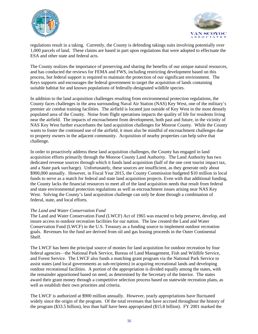



regulations result in a taking. Currently, the County is defending takings suits involving potentially over 1,000 parcels of land. These claims are based in part upon regulations that were adopted to effectuate the ESA and other state and federal acts.

The County realizes the importance of preserving and sharing the benefits of our unique natural resources, and has conducted the reviews for FEMA and FWS, including restricting development based on this process, but federal support is required to maintain the protection of our significant environment. The Keys supports and encourages the federal government to target the acquisition of lands containing suitable habitat for and known populations of federally-designated wildlife species.

In addition to the land acquisition challenges resulting from environmental protection regulations, the County faces challenges in the area surrounding Naval Air Station (NAS) Key West, one of the military's premier air combat training facilities. The airfield is located just outside of Key West in the most densely populated area of the County. Noise from flight operations impacts the quality of life for residents living near the airfield. The impacts of encroachment from development, both past and future, in the vicinity of NAS Key West further exacerbates the land acquisition challenges for Monroe County. While the County wants to foster the continued use of the airfield, it must also be mindful of encroachment challenges due to property owners in the adjacent community. Acquisition of nearby properties can help solve that challenge.

In order to proactively address these land acquisition challenges, the County has engaged in land acquisition efforts primarily through the Monroe County Land Authority. The Land Authority has two dedicated revenue sources through which it funds land acquisition (half of the one cent tourist impact tax, and a State park surcharge). Unfortunately, these sources are insufficient, as they generate only about \$900,000 annually. However, in Fiscal Year 2015, the County Commission budgeted \$10 million in local funds to serve as a match for federal and state land acquisition projects. Even with that additional funding, the County lacks the financial resources to meet all of the land acquisition needs that result from federal and state environmental protection regulations as well as encroachment issues arising near NAS Key West. Solving the County's land acquisition challenge can only be done through a combination of federal, state, and local efforts.

### *The Land and Water Conservation Fund*

The Land and Water Conservation Fund (LWCF) Act of 1965 was enacted to help preserve, develop, and insure access to outdoor recreation facilities for our nation. The law created the Land and Water Conservation Fund (LWCF) in the U.S. Treasury as a funding source to implement outdoor recreation goals. Revenues for the fund are derived from oil and gas leasing proceeds in the Outer Continental Shelf.

The LWCF has been the principal source of monies for land acquisition for outdoor recreation by four federal agencies—the National Park Service, Bureau of Land Management, Fish and Wildlife Service, and Forest Service. The LWCF also funds a matching grant program via the National Park Service to assist states (and local governments as sub-recipients) in acquiring recreational lands and developing outdoor recreational facilities. A portion of the appropriation is divided equally among the states, with the remainder apportioned based on need, as determined by the Secretary of the Interior. The states award their grant money through a competitive selection process based on statewide recreation plans, as well as establish their own priorities and criteria.

The LWCF is authorized at \$900 million annually. However, yearly appropriations have fluctuated widely since the origin of the program. Of the total revenues that have accrued throughout the history of the program (\$33.5 billion), less than half have been appropriated (\$15.8 billion). FY 2001 marked the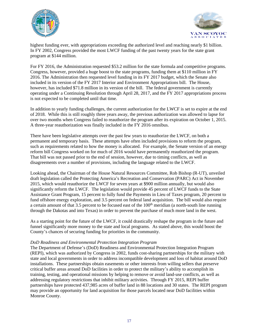



highest funding ever, with appropriations exceeding the authorized level and reaching nearly \$1 billion. In FY 2002, Congress provided the most LWCF funding of the past twenty years for the state grant program at \$144 million.

For FY 2016, the Administration requested \$53.2 million for the state formula and competitive programs. Congress, however, provided a huge boost to the state programs, funding them at \$110 million in FY 2016. The Administration then requested level funding in its FY 2017 budget, which the Senate also included in its version of the FY 2017 Interior and Environment Appropriations bill. The House, however, has included \$71.8 million in its version of the bill. The federal government is currently operating under a Continuing Resolution through April 28, 2017, and the FY 2017 appropriations process is not expected to be completed until that time.

In addition to yearly funding challenges, the current authorization for the LWCF is set to expire at the end of 2018. While this is still roughly three years away, the previous authorization was allowed to lapse for over two months when Congress failed to reauthorize the program after its expiration on October 1, 2015. A three-year reauthorization was finally included in the FY 2016 omnibus.

There have been legislative attempts over the past few years to reauthorize the LWCF, on both a permanent and temporary basis. These attempts have often included provisions to reform the program, such as requirements related to how the money is allocated. For example, the Senate version of an energy reform bill Congress worked on for much of 2016 would have permanently reauthorized the program. That bill was not passed prior to the end of session, however, due to timing conflicts, as well as disagreements over a number of provisions, including the language related to the LWCF.

Looking ahead, the Chairman of the House Natural Resources Committee, Rob Bishop (R-UT), unveiled draft legislation called the Protecting America's Recreation and Conservation (PARC) Act in November 2015, which would reauthorize the LWCF for seven years at \$900 million annually, but would also significantly reform the LWCF. The legislation would provide 45 percent of LWCF funds to the State Assistance Grant Program, 15 percent to fully fund the Payments in Lieu of Taxes program, 20 percent to fund offshore energy exploration, and 3.5 percent on federal land acquisition. The bill would also require a certain amount of that 3.5 percent to be focused east of the 100<sup>th</sup> meridian (a north-south line running through the Dakotas and into Texas) in order to prevent the purchase of much more land in the west.

As a starting point for the future of the LWCF, it could drastically reshape the program in the future and funnel significantly more money to the state and local programs. As stated above, this would boost the County's chances of securing funding for priorities in the community.

### *DoD Readiness and Environmental Protection Integration Program*

The Department of Defense's (DoD) Readiness and Environmental Protection Integration Program (REPI), which was authorized by Congress in 2002, funds cost-sharing partnerships for the military with state and local governments in order to address incompatible development and loss of habitat around DoD installations. These partnerships obtain easements or other interests from willing sellers that preserve critical buffer areas around DoD facilities in order to protect the military's ability to accomplish its training, testing, and operational missions by helping to remove or avoid land-use conflicts, as well as addressing regulatory restrictions that inhibit military activities. Through FY 2015, REPI buffer partnerships have protected 437,985 acres of buffer land in 88 locations and 30 states. The REPI program may provide an opportunity for land acquisition for those parcels located near DoD facilities within Monroe County.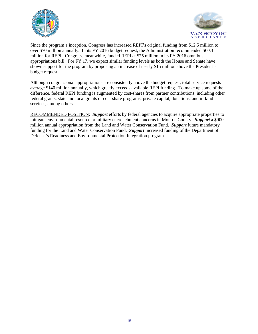



Since the program's inception, Congress has increased REPI's original funding from \$12.5 million to over \$70 million annually. In its FY 2016 budget request, the Administration recommended \$60.3 million for REPI. Congress, meanwhile, funded REPI at \$75 million in its FY 2016 omnibus appropriations bill. For FY 17, we expect similar funding levels as both the House and Senate have shown support for the program by proposing an increase of nearly \$15 million above the President's budget request.

Although congressional appropriations are consistently above the budget request, total service requests average \$140 million annually, which greatly exceeds available REPI funding. To make up some of the difference, federal REPI funding is augmented by cost-shares from partner contributions, including other federal grants, state and local grants or cost-share programs, private capital, donations, and in-kind services, among others.

RECOMMENDED POSITION: *Support* efforts by federal agencies to acquire appropriate properties to mitigate environmental resource or military encroachment concerns in Monroe County. *Support* a \$900 million annual appropriation from the Land and Water Conservation Fund. *Support* future mandatory funding for the Land and Water Conservation Fund. *Support* increased funding of the Department of Defense's Readiness and Environmental Protection Integration program.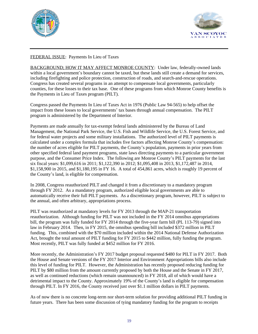



# FEDERAL ISSUE: Payments In Lieu of Taxes

BACKGROUND; HOW IT MAY AFFECT MONROE COUNTY: Under law, federally-owned lands within a local government's boundary cannot be taxed, but these lands still create a demand for services, including firefighting and police protection, construction of roads, and search-and-rescue operations. Congress has created several programs in an attempt to compensate local governments, particularly counties, for these losses to their tax base. One of these programs from which Monroe County benefits is the Payments in Lieu of Taxes program (PILT).

Congress passed the Payments In Lieu of Taxes Act in 1976 (Public Law 94-565) to help offset the impact from these losses to local governments' tax bases through annual compensation. The PILT program is administered by the Department of Interior.

Payments are made annually for tax-exempt federal lands administered by the Bureau of Land Management, the National Park Service, the U.S. Fish and Wildlife Service, the U.S. Forest Service, and for federal water projects and some military installations. The authorized level of PILT payments is calculated under a complex formula that includes five factors affecting Monroe County's compensation: the number of acres eligible for PILT payments, the County's population, payments in prior years from other specified federal land payment programs, state laws directing payments to a particular government purpose, and the Consumer Price Index. The following are Monroe County's PILT payments for the last six fiscal years: \$1,099,616 in 2011; \$1,122,390 in 2012; \$1,095,408 in 2013, \$1,172,487 in 2014, \$1,158,900 in 2015, and \$1,180,195 in FY 16. A total of 454,861 acres, which is roughly 19 percent of the County's land, is eligible for compensation.

In 2008, Congress reauthorized PILT and changed it from a discretionary to a mandatory program through FY 2012. As a mandatory program, authorized eligible local governments are able to automatically receive their full PILT payments. As a discretionary program, however, PILT is subject to the annual, and often arbitrary, appropriations process.

PILT was reauthorized at mandatory levels for FY 2013 through the MAP-21 transportation reauthorization. Although funding for PILT was not included in the FY 2014 omnibus appropriations bill, the program was fully funded for FY 2014 through the five-year farm bill (PL 113-79) signed into law in February 2014. Then, in FY 2015, the omnibus spending bill included \$372 million in PILT funding. This, combined with the \$70 million included within the 2014 National Defense Authorization Act, brought the total amount of PILT funding for FY 2015 to \$442 million, fully funding the program. Most recently, PILT was fully funded at \$452 million for FY 2016.

More recently, the Administration's FY 2017 budget proposal requested \$480 for PILT in FY 2017. Both the House and Senate versions of the FY 2017 Interior and Environment Appropriations bills also include this level of funding for PILT. However, the Administration has recently proposed reducing funding for PILT by \$80 million from the amount currently proposed by both the House and the Senate in FY 2017, as well as continued reductions (which remain unannounced) in FY 2018, all of which would have a detrimental impact to the County. Approximately 19% of the County's land is eligible for compensation through PILT. In FY 2016, the County received just over \$1.1 million dollars in PILT payments.

As of now there is no concrete long-term nor short-term solution for providing additional PILT funding in future years. There has been some discussion of tying mandatory funding for the program to receipts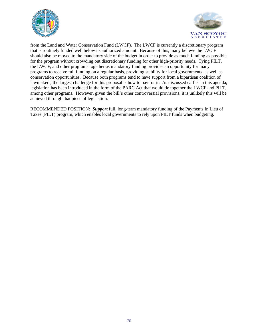



from the Land and Water Conservation Fund (LWCF). The LWCF is currently a discretionary program that is routinely funded well below its authorized amount. Because of this, many believe the LWCF should also be moved to the mandatory side of the budget in order to provide as much funding as possible for the program without crowding out discretionary funding for other high-priority needs. Tying PILT, the LWCF, and other programs together as mandatory funding provides an opportunity for many programs to receive full funding on a regular basis, providing stability for local governments, as well as conservation opportunities. Because both programs tend to have support from a bipartisan coalition of lawmakers, the largest challenge for this proposal is how to pay for it. As discussed earlier in this agenda, legislation has been introduced in the form of the PARC Act that would tie together the LWCF and PILT, among other programs. However, given the bill's other controversial provisions, it is unlikely this will be achieved through that piece of legislation.

RECOMMENDED POSITION: *Support* full, long-term mandatory funding of the Payments In Lieu of Taxes (PILT) program, which enables local governments to rely upon PILT funds when budgeting.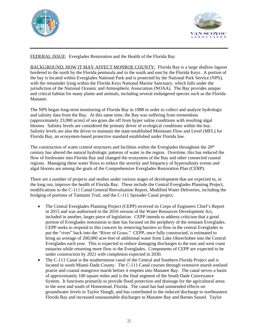



### FEDERAL ISSUE: Everglades Restoration and the Health of the Florida Bay

BACKGROUND; HOW IT MAY AFFECT MONROE COUNTY: Florida Bay is a large shallow lagoon bordered to the north by the Florida peninsula and to the south and east by the Florida Keys. A portion of the bay is located within Everglades National Park and is protected by the National Park Service (NPS), with the remainder lying within the Florida Keys National Marine Sanctuary, which falls under the jurisdiction of the National Oceanic and Atmospheric Association (NOAA). The Bay provides unique and critical habitat for many plants and animals, including several endangered species such as the Florida Manatee.

The NPS began long-term monitoring of Florida Bay in 1988 in order to collect and analyze hydrologic and salinity data from the Bay. At this same time, the Bay was suffering from tremendous (approximately 23,000 acres) of sea grass die off from hyper saline conditions with resulting algal blooms. Salinity levels are considered the primary driver of ecological conditions within the bay. Salinity levels are also the driver to maintain the state-established Minimum Flow and Level (MFL) for Florida Bay, an ecosystem-based protective standard established under Florida law.

The construction of water control structures and facilities within the Everglades throughout the 20<sup>th</sup> century has altered the natural hydrologic patterns of water in the region. Overtime, this has reduced the flow of freshwater into Florida Bay and changed the ecosystem of the Bay and other connected coastal regions. Managing these water flows to reduce the severity and frequency of hypersalinity events and algal blooms are among the goals of the Comprehensive Everglades Restoration Plan (CERP).

There are a number of projects and studies under various stages of development that are expected to, in the long run, improve the health of Florida Bay. These include the Central Everglades Planning Project, modifications to the C-111 Canal General Reevaluation Report, Modified Water Deliveries, including the bridging of portions of Tamiami Trail, and the C-111 Spreader Canal project.

- The Central Everglades Planning Project (CEPP) received its Corps of Engineers Chief's Report in 2015 and was authorized in the 2016 version of the Water Resources Development Act, included in another, larger piece of legislation. CEPP intends to address criticism that a good portion of Everglades restoration to date has focused on the periphery of the remnant Everglades. CEPP seeks to respond to this concern by removing barriers to flow in the central Everglades to put the "river" back into the "River of Grass." CEPP, once fully constructed, is estimated to bring an average of 200,000 acre-feet of additional water from Lake Okeechobee into the Central Everglades each year. This is expected to reduce damaging discharges to the east and west coast estuaries while returning more flow to the Everglades. Components of CEPP are expected to be under construction by 2021 with completion expected in 2030.
- The C-111 Canal is the southernmost canal of the Central and Southern Florida Project and is located in south Miami-Dade County. The C-111 Canal courses through extensive marsh wetland prairie and coastal mangrove marsh before it empties into Manatee Bay. The canal serves a basin of approximately 100 square miles and is the final segment of the South Dade Conveyance System. It functions primarily to provide flood protection and drainage for the agricultural areas to the west and south of Homestead, Florida. The canal has had unintended effects on groundwater levels in Taylor Slough, and has contributed to the reduced discharge to northeastern Florida Bay and increased unseasonable discharges to Manatee Bay and Barnes Sound. Taylor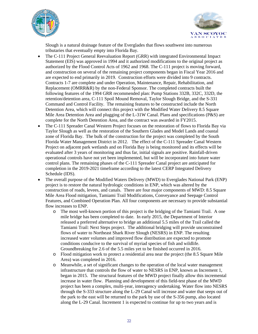



Slough is a natural drainage feature of the Everglades that flows southwest into numerous tributaries that eventually empty into Florida Bay.

- The C-111 Project General Reevaluation Report (GRR) with integrated Environmental Impact Statement (EIS) was approved in 1994 and it authorized modifications to the original project as authorized by the Flood Control Acts of 1962 and 1968. The C-111 project is moving forward, and construction on several of the remaining project components began in Fiscal Year 2016 and are expected to end primarily in 2019. Construction efforts were divided into 9 contracts. Contracts 1-7 are complete and under Operation, Maintenance, Repair, Rehabilitation, and Replacement (OMRR&R) by the non-Federal Sponsor. The completed contracts built the following features of the 1994 GRR recommended plan: Pump Stations 332B, 332C, 332D, the retention/detention area, C-111 Spoil Mound Removal, Taylor Slough Bridge, and the S-331 Command and Control Facility. The remaining features to be constructed include the North Detention Area, which will connect this project with the Modified Water Delivery 8.5 Square Mile Area Detention Area and plugging of the L-31W Canal. Plans and specifications (P&S) are complete for the North Detention Area, and the contract was awarded in FY2015.
- The C-111 Spreader Canal Western Project focuses on the restoration of flows to Florida Bay via Taylor Slough as well as the restoration of the Southern Glades and Model Lands and coastal zone of Florida Bay. The bulk of the construction for the project was completed by the South Florida Water Management District in 2012. The effect of the C-111 Spreader Canal Western Project on adjacent park wetlands and on Florida Bay is being monitored and its effects will be evaluated after 3 years of monitoring and thus far, initial signals are positive. Rainfall-driven operational controls have not yet been implemented, but will be incorporated into future water control plans. The remaining phases of the C-111 Spreader Canal project are anticipated for completion in the 2019-2021 timeframe according to the latest CERP Integrated Delivery Schedule (IDS).
- The overall purpose of the Modified Waters Delivery (MWD) to Everglades National Park (ENP) project is to restore the natural hydrologic conditions in ENP, which was altered by the construction of roads, levees, and canals. There are four major components of MWD: 8.5 Square Mile Area Flood mitigation, Tamiami Trail Modifications, Conveyance and Seepage Control Features, and Combined Operation Plan. All four components are necessary to provide substantial flow increases to ENP.
	- o The most well-known portion of this project is the bridging of the Tamiami Trail. A one mile bridge has been completed to date. In early 2015, the Department of Interior released a preferred alternative to bridge an additional 5.5 miles of the Trail called the Tamiami Trail: Next Steps project. The additional bridging will provide unconstrained flows of water to Northeast Shark River Slough (NESRS) in ENP. The resulting increased water volumes and improved flow distribution are expected to promote conditions conducive to the survival of myriad species of fish and wildlife. Groundbreaking for 2.6 of the 5.5 miles yet to be finished occurred in 2016.
	- o Flood mitigation work to protect a residential area near the project (the 8.5 Square Mile Area) was completed in 2016.
	- o Meanwhile, a set of significant changes to the operation of the local water management infrastructure that controls the flow of water to NESRS in ENP, known as Increment 1, began in 2015. The structural features of the MWD project finally allow this incremental increase in water flow. Planning and development of this field-test phase of the MWD project has been a complex, multi-year, interagency undertaking. Water flow into NESRS through the S-333 structure along the L-29 Canal will increase and water that seeps out of the park to the east will be returned to the park by use of the S-356 pump, also located along the L-29 Canal. Increment 1 is expected to continue for up to two years and is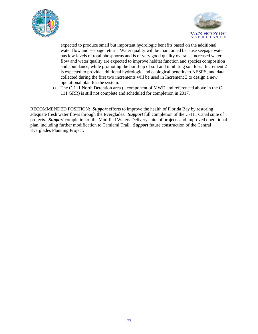



expected to produce small but important hydrologic benefits based on the additional water flow and seepage return. Water quality will be maintained because seepage water has low levels of total phosphorus and is of very good quality overall. Increased water flow and water quality are expected to improve habitat function and species composition and abundance, while promoting the build-up of soil and inhibiting soil loss. Increment 2 is expected to provide additional hydrologic and ecological benefits to NESRS, and data collected during the first two increments will be used in Increment 3 to design a new operational plan for the system.

o The C-111 North Detention area (a component of MWD and referenced above in the C-111 GRR) is still not complete and scheduled for completion in 2017.

RECOMMENDED POSITION: *Support* efforts to improve the health of Florida Bay by restoring adequate fresh water flows through the Everglades. *Support* full completion of the C-111 Canal suite of projects. *Support* completion of the Modified Waters Delivery suite of projects and improved operational plan, including further modification to Tamiami Trail. *Support* future construction of the Central Everglades Planning Project.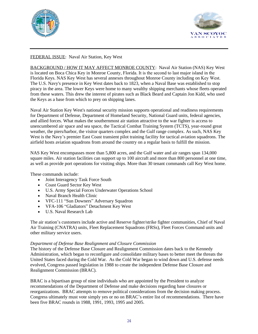



# FEDERAL ISSUE: Naval Air Station, Key West

BACKGROUND / HOW IT MAY AFFECT MONROE COUNTY: Naval Air Station (NAS) Key West is located on Boca Chica Key in Monroe County, Florida. It is the second to last major island in the Florida Keys. NAS Key West has several annexes throughout Monroe County including on Key West. The U.S. Navy's presence in Key West dates back to 1823, when a Naval Base was established to stop piracy in the area. The lower Keys were home to many wealthy shipping merchants whose fleets operated from these waters. This drew the interest of pirates such as Black Beard and Captain Jon Kidd, who used the Keys as a base from which to prey on shipping lanes.

Naval Air Station Key West's national security mission supports operational and readiness requirements for Department of Defense, Department of Homeland Security, National Guard units, federal agencies, and allied forces. What makes the southernmost air station attractive to the war fighter is access to unencumbered air space and sea space, the Tactical Combat Training System (TCTS), year-round great weather, the piers/harbor, the visitor quarters complex and the Gulf range complex. As such, NAS Key West is the Navy's premier East Coast transient pilot training facility for tactical aviation squadrons. The airfield hosts aviation squadrons from around the country on a regular basis to fulfill the mission.

NAS Key West encompasses more than 5,800 acres, and the Gulf water and air ranges span 134,000 square miles. Air station facilities can support up to 100 aircraft and more than 800 personnel at one time, as well as provide port operations for visiting ships. More than 30 tenant commands call Key West home.

These commands include:

- Joint Interagency Task Force South
- Coast Guard Sector Key West
- U.S. Army Special Forces Underwater Operations School
- Naval Branch Health Clinic
- VFC-111 "Sun Downers" Adversary Squadron
- VFA-106 "Gladiators" Detachment Key West
- U.S. Naval Research Lab

The air station's customers include active and Reserve fighter/strike fighter communities, Chief of Naval Air Training (CNATRA) units, Fleet Replacement Squadrons (FRSs), Fleet Forces Command units and other military service users.

### *Department of Defense Base Realignment and Closure Commission*

The history of the Defense Base Closure and Realignment Commission dates back to the Kennedy Administration, which began to reconfigure and consolidate military bases to better meet the threats the United States faced during the Cold War. As the Cold War began to wind down and U.S. defense needs evolved, Congress passed legislation in 1988 to create the independent Defense Base Closure and Realignment Commission (BRAC).

BRAC is a bipartisan group of nine individuals who are appointed by the President to analyze recommendations of the Department of Defense and make decisions regarding base closures or reorganizations. BRAC attempts to remove political considerations from the decision making process. Congress ultimately must vote simply yes or no on BRAC's entire list of recommendations. There have been five BRAC rounds in 1988, 1991, 1993, 1995 and 2005.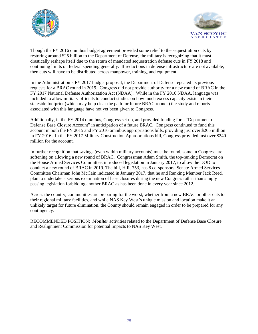



Though the FY 2016 omnibus budget agreement provided some relief to the sequestration cuts by restoring around \$25 billion to the Department of Defense, the military is recognizing that it must drastically reshape itself due to the return of mandated sequestration defense cuts in FY 2018 and continuing limits on federal spending generally. If reductions in defense infrastructure are not available, then cuts will have to be distributed across manpower, training, and equipment.

In the Administration's FY 2017 budget proposal, the Department of Defense repeated its previous requests for a BRAC round in 2019. Congress did not provide authority for a new round of BRAC in the FY 2017 National Defense Authorization Act (NDAA). While in the FY 2016 NDAA, language was included to allow military officials to conduct studies on how much excess capacity exists in their stateside footprint (which may help clear the path for future BRAC rounds) the study and reports associated with this language have not yet been given to Congress.

Additionally, in the FY 2014 omnibus, Congress set up, and provided funding for a "Department of Defense Base Closure Account" in anticipation of a future BRAC. Congress continued to fund this account in both the FY 2015 and FY 2016 omnibus appropriations bills, providing just over \$265 million in FY 2016**.** In the FY 2017 Military Construction Appropriations bill, Congress provided just over \$240 million for the account.

In further recognition that savings (even within military accounts) must be found, some in Congress are softening on allowing a new round of BRAC. Congressman Adam Smith, the top-ranking Democrat on the House Armed Services Committee, introduced legislation in January 2017, to allow the DOD to conduct a new round of BRAC in 2019. The bill, H.R. 753, has 8 co-sponsors. Senate Armed Services Committee Chairman John McCain indicated in January 2017, that he and Ranking Member Jack Reed, plan to undertake a serious examination of base closures during the new Congress rather than simply passing legislation forbidding another BRAC as has been done in every year since 2012.

Across the country, communities are preparing for the worst, whether from a new BRAC or other cuts to their regional military facilities, and while NAS Key West's unique mission and location make it an unlikely target for future elimination, the County should remain engaged in order to be prepared for any contingency.

RECOMMENDED POSITION: *Monitor* activities related to the Department of Defense Base Closure and Realignment Commission for potential impacts to NAS Key West.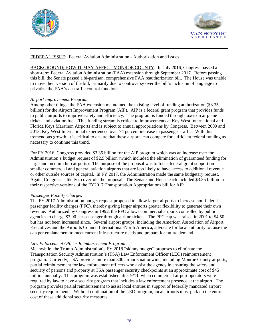



# FEDERAL ISSUE: Federal Aviation Administration - Authorization and Issues

BACKGROUND; HOW IT MAY AFFECT MONROE COUNTY: In July 2016, Congress passed a short-term Federal Aviation Administration (FAA) extension through September 2017. Before passing this bill, the Senate passed a bi-partisan, comprehensive FAA reauthorization bill. The House was unable to move their version of the bill, primarily due to controversy over the bill's inclusion of language to privatize the FAA's air traffic control functions.

### *Airport Improvement Program*

Among other things, the FAA extension maintained the existing level of funding authorization (\$3.35 billion) for the Airport Improvement Program (AIP). AIP is a federal grant program that provides funds to public airports to improve safety and efficiency. The program is funded through taxes on airplane tickets and aviation fuel. This funding stream is critical to improvements at Key West International and Florida Keys Marathon Airports and is subject to annual appropriations by Congress. Between 2009 and 2013, Key West International experienced over 74 percent increase in passenger traffic. With this tremendous growth, it is critical to ensure that these airports can compete for sufficient federal funding as necessary to continue this trend.

For FY 2016, Congress provided \$3.35 billion for the AIP program which was an increase over the Administration's budget request of \$2.9 billion (which included the elimination of guaranteed funding for large and medium hub airports). The purpose of the proposal was to focus federal grant support on smaller commercial and general aviation airports that are less likely to have access to additional revenue or other outside sources of capital. In FY 2017, the Administration made the same budgetary request. Again, Congress is likely to overrule the proposal. The Senate and House each included \$3.35 billion in their respective versions of the FY2017 Transportation Appropriations bill for AIP.

### *Passenger Facility Charges*

The FY 2017 Administration budget request proposed to allow larger airports to increase non-federal passenger facility charges (PFC), thereby giving larger airports greater flexibility to generate their own revenue. Authorized by Congress in 1992, the PFC allows commercial airports controlled by public agencies to charge \$3.00 per passenger through airline tickets. The PFC cap was raised in 2001 to \$4.50, but has not been increased since. Several airport groups, including the American Association of Airport Executives and the Airports Council International-North America, advocate for local authority to raise the cap per enplanement to meet current infrastructure needs and prepare for future demand.

### *Law Enforcement Officer Reimbursement Program*

Meanwhile, the Trump Administration's FY 2018 "skinny budget" proposes to eliminate the Transportation Security Administration's (TSA) Law Enforcement Officer (LEO) reimbursement program. Currently, TSA provides more than 300 airports nationwide, including Monroe County airports, partial reimbursement for law enforcement officers who assist the agency in ensuring the safety and security of persons and property at TSA passenger security checkpoints at an approximate cost of \$45 million annually. This program was established after 9/11, when commercial airport operators were required by law to have a security program that includes a law enforcement presence at the airport. The program provides partial reimbursement to assist local entities in support of federally mandated airport security requirements. Without continuation of the LEO program, local airports must pick up the entire cost of these additional security measures.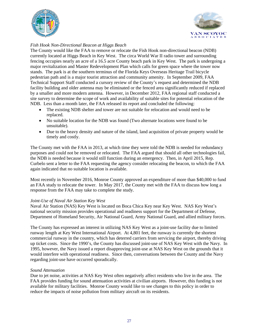



### *Fish Hook Non-Directional Beacon at Higgs Beach*

The County would like the FAA to remove or relocate the Fish Hook non-directional beacon (NDB) currently located at Higgs Beach in Key West. The circa World War II radio tower and surrounding fencing occupies nearly an acre of a 16.5 acre County beach park in Key West. The park is undergoing a major revitalization and Master Redevelopment Plan which calls for green space where the tower now stands. The park is at the southern terminus of the Florida Keys Overseas Heritage Trail bicycle pedestrian path and is a major tourist attraction and community amenity. In September 2009, FAA Technical Support Staff conducted a cursory review of the County's request and determined the NDB facility building and older antenna may be eliminated or the fenced area significantly reduced if replaced by a smaller and more modern antenna. However, in December 2012, FAA regional staff conducted a site survey to determine the scope of work and availability of suitable sites for potential relocation of the NDB. Less than a month later, the FAA released its report and concluded the following:

- The existing NDB shelter and tower are not suitable for relocation and would need to be replaced.
- No suitable location for the NDB was found (Two alternate locations were found to be unsuitable).
- Due to the heavy density and nature of the island, land acquisition of private property would be timely and costly.

The County met with the FAA in 2013, at which time they were told the NDB is needed for redundancy purposes and could not be removed or relocated. The FAA argued that should all other technologies fail, the NDB is needed because it would still function during an emergency. Then, in April 2015, Rep. Curbelo sent a letter to the FAA requesting the agency consider relocating the beacon, to which the FAA again indicated that no suitable location is available.

Most recently in November 2016, Monroe County approved an expenditure of more than \$40,000 to fund an FAA study to relocate the tower. In May 2017, the County met with the FAA to discuss how long a response from the FAA may take to complete the study.

### *Joint-Use of Naval Air Station Key West*

Naval Air Station (NAS) Key West is located on Boca Chica Key near Key West. NAS Key West's national security mission provides operational and readiness support for the Department of Defense, Department of Homeland Security, Air National Guard, Army National Guard, and allied military forces.

The County has expressed an interest in utilizing NAS Key West as a joint-use facility due to limited runway length at Key West International Airport. At 4,801 feet, the runway is currently the shortest commercial runway in the country, which has deterred carriers from servicing the airport, thereby driving up ticket costs. Since the 1990's, the County has discussed joint-use of NAS Key West with the Navy. In 1995, however, the Navy issued a report disapproving joint-use at NAS Key West on the grounds that it would interfere with operational readiness. Since then, conversations between the County and the Navy regarding joint-use have occurred sporadically.

### *Sound Attenuation*

Due to jet noise, activities at NAS Key West often negatively affect residents who live in the area. The FAA provides funding for sound attenuation activities at civilian airports. However, this funding is not available for military facilities. Monroe County would like to see changes to this policy in order to reduce the impacts of noise pollution from military aircraft on its residents.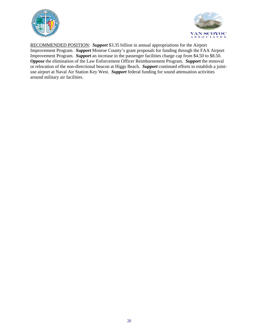



RECOMMENDED POSITION: *Support* \$3.35 billion in annual appropriations for the Airport Improvement Program. *Support* Monroe County's grant proposals for funding through the FAA Airport Improvement Program. *Support* an increase in the passenger facilities charge cap from \$4.50 to \$8.50. *Oppose* the elimination of the Law Enforcement Officer Reimbursement Program. *Support* the removal or relocation of the non-directional beacon at Higgs Beach. *Support* continued efforts to establish a jointuse airport at Naval Air Station Key West. *Support* federal funding for sound attenuation activities around military air facilities.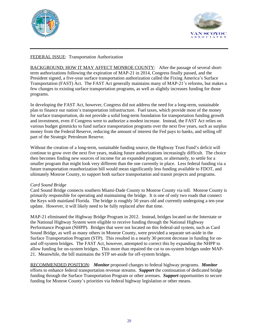



# FEDERAL ISSUE: Transportation Authorization

BACKGROUND; HOW IT MAY AFFECT MONROE COUNTY: After the passage of several shortterm authorizations following the expiration of MAP-21 in 2014, Congress finally passed, and the President signed, a five-year surface transportation authorization called the Fixing America's Surface Transportation (FAST) Act. The FAST Act generally maintains many of MAP-21's reforms, but makes a few changes to existing surface transportation programs, as well as slightly increases funding for those programs.

In developing the FAST Act, however, Congress did not address the need for a long-term, sustainable plan to finance our nation's transportation infrastructure. Fuel taxes, which provide most of the money for surface transportation, do not provide a solid long-term foundation for transportation funding growth and investment, even if Congress were to authorize a modest increase. Instead, the FAST Act relies on various budget gimmicks to fund surface transportation programs over the next five years, such as surplus money from the Federal Reserve, reducing the amount of interest the Fed pays to banks, and selling off part of the Strategic Petroleum Reserve.

Without the creation of a long-term, sustainable funding source, the Highway Trust Fund's deficit will continue to grow over the next five years, making future authorizations increasingly difficult. The choice then becomes finding new sources of income for an expanded program, or alternately, to settle for a smaller program that might look very different than the one currently in place. Less federal funding via a future transportation reauthorization bill would mean significantly less funding available to FDOT, and ultimately Monroe County, to support both surface transportation and transit projects and programs.

### *Card Sound Bridge*

Card Sound Bridge connects southern Miami-Dade County to Monroe County via toll. Monroe County is primarily responsible for operating and maintaining the bridge. It is one of only two roads that connect the Keys with mainland Florida. The bridge is roughly 50 years old and currently undergoing a ten-year update. However, it will likely need to be fully replaced after that time.

MAP-21 eliminated the Highway Bridge Program in 2012. Instead, bridges located on the Interstate or the National Highway System were eligible to receive funding through the National Highway Performance Program (NHPP). Bridges that were not located on this federal-aid system, such as Card Sound Bridge, as well as many others in Monroe County, were provided a separate set-aside in the Surface Transportation Program (STP). This resulted in a nearly 30 percent decrease in funding for onand off-system bridges. The FAST Act, however, attempted to correct this by expanding the NHPP to allow funding for on-system bridges. This more than repaired the cut to on-system bridges under MAP-21. Meanwhile, the bill maintains the STP set-aside for off-system bridges.

RECOMMENDED POSITION: *Monitor* proposed changes to federal highway programs. *Monitor* efforts to enhance federal transportation revenue streams. *Support* the continuation of dedicated bridge funding through the Surface Transportation Program or other avenues. *Support* opportunities to secure funding for Monroe County's priorities via federal highway legislation or other means.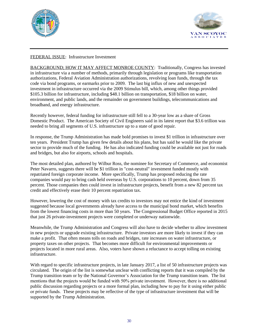



### FEDERAL ISSUE: Infrastructure Investment

BACKGROUND; HOW IT MAY AFFECT MONROE COUNTY: Traditionally, Congress has invested in infrastructure via a number of methods, primarily through legislation or programs like transportation authorizations, Federal Aviation Administration authorizations, revolving loan funds, through the tax code via bond programs, or earmarks prior to 2009. The last big influx of new and unexpected investment in infrastructure occurred via the 2009 Stimulus bill, which, among other things provided \$105.3 billion for infrastructure, including \$48.1 billion on transportation, \$18 billion on water, environment, and public lands, and the remainder on government buildings, telecommunications and broadband, and energy infrastructure.

Recently however, federal funding for infrastructure still fell to a 30-year low as a share of Gross Domestic Product. The American Society of Civil Engineers said in its latest report that \$3.6 trillion was needed to bring all segments of U.S. infrastructure up to a state of good repair.

In response, the Trump Administration has made bold promises to invest \$1 trillion in infrastructure over ten years. President Trump has given few details about his plans, but has said he would like the private sector to provide much of the funding. He has also indicated funding could be available not just for roads and bridges, but also for airports, schools and hospitals.

The most detailed plan, authored by Wilbur Ross, the nominee for Secretary of Commerce, and economist Peter Navarro, suggests there will be \$1 trillion in "cost-neutral" investment funded mostly with repatriated foreign corporate income. More specifically, Trump has proposed reducing the rate companies would pay to bring cash held overseas by U.S. corporations to 10 percent, down from 35 percent. Those companies then could invest in infrastructure projects, benefit from a new 82 percent tax credit and effectively erase their 10 percent repatriation tax.

However, lowering the cost of money with tax credits to investors may not entice the kind of investment suggested because local governments already have access to the municipal bond market, which benefits from the lowest financing costs in more than 50 years. The Congressional Budget Office reported in 2015 that just 26 private-investment projects were completed or underway nationwide.

Meanwhile, the Trump Administration and Congress will also have to decide whether to allow investment in new projects or upgrade existing infrastructure. Private investors are more likely to invest if they can make a profit. That often means tolls on roads and bridges, rate increases on water infrastructure, or property taxes on other projects. That becomes more difficult for environmental improvements or projects located in more rural areas. Also, voters have shown a reluctance to accept tolling on existing infrastructure.

With regard to specific infrastructure projects, in late January 2017, a list of 50 infrastructure projects was circulated. The origin of the list is somewhat unclear with conflicting reports that it was compiled by the Trump transition team or by the National Governor's Association for the Trump transition team. The list mentions that the projects would be funded with 50% private investment. However, there is no additional public discussion regarding projects or a more formal plan, including how to pay for it using either public or private funds. These projects may be reflective of the type of infrastructure investment that will be supported by the Trump Administration.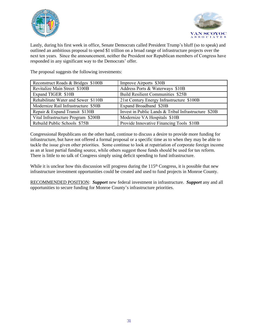



Lastly, during his first week in office, Senate Democrats called President Trump's bluff (so to speak) and outlined an ambitious proposal to spend \$1 trillion on a broad range of infrastructure projects over the next ten years. Since the announcement, neither the President nor Republican members of Congress have responded in any significant way to the Democrats' offer.

The proposal suggests the following investments:

| Reconstruct Roads & Bridges \$100B  | Improve Airports \$30B                               |
|-------------------------------------|------------------------------------------------------|
| Revitalize Main Street \$100B       | Address Ports & Waterways \$10B                      |
| Expand TIGER \$10B                  | <b>Build Resilient Communities \$25B</b>             |
| Rehabilitate Water and Sewer \$110B | 21st Century Energy Infrastructure \$100B            |
| Modernize Rail Infrastructure \$50B | Expand Broadband \$20B                               |
| Repair & Expand Transit \$130B      | Invest in Public Lands & Tribal Infrastructure \$20B |
| Vital Infrastructure Program \$200B | Modernize VA Hospitals \$10B                         |
| Rebuild Public Schools \$75B        | Provide Innovative Financing Tools \$10B             |

Congressional Republicans on the other hand, continue to discuss a desire to provide more funding for infrastructure, but have not offered a formal proposal or a specific time as to when they may be able to tackle the issue given other priorities. Some continue to look at repatriation of corporate foreign income as an at least partial funding source, while others suggest those funds should be used for tax reform. There is little to no talk of Congress simply using deficit spending to fund infrastructure.

While it is unclear how this discussion will progress during the 115<sup>th</sup> Congress, it is possible that new infrastructure investment opportunities could be created and used to fund projects in Monroe County.

RECOMMENDED POSITION: *Support* new federal investment in infrastructure. *Support* any and all opportunities to secure funding for Monroe County's infrastructure priorities.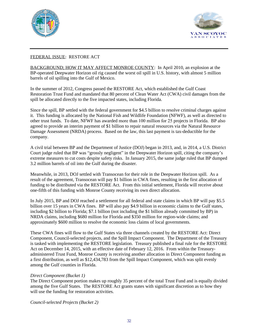



# FEDERAL ISSUE: RESTORE ACT

BACKGROUND; HOW IT MAY AFFECT MONROE COUNTY: In April 2010, an explosion at the BP-operated Deepwater Horizon oil rig caused the worst oil spill in U.S. history, with almost 5 million barrels of oil spilling into the Gulf of Mexico.

In the summer of 2012, Congress passed the RESTORE Act, which established the Gulf Coast Restoration Trust Fund and mandated that 80 percent of Clean Water Act (CWA) civil damages from the spill be allocated directly to the five impacted states, including Florida.

Since the spill, BP settled with the federal government for \$4.5 billion to resolve criminal charges against it. This funding is allocated by the National Fish and Wildlife Foundation (NFWF), as well as directed to other trust funds. To date, NFWF has awarded more than 100 million for 25 projects in Florida. BP also agreed to provide an interim payment of \$1 billion to repair natural resources via the Natural Resource Damage Assessment (NRDA) process. Based on the law, this last payment is tax-deductible for the company.

A civil trial between BP and the Department of Justice (DOJ) began in 2013, and, in 2014, a U.S. District Court judge ruled that BP was "grossly negligent" in the Deepwater Horizon spill, citing the company's extreme measures to cut costs despite safety risks. In January 2015, the same judge ruled that BP dumped 3.2 million barrels of oil into the Gulf during the disaster.

Meanwhile, in 2013, DOJ settled with Transocean for their role in the Deepwater Horizon spill. As a result of the agreement, Transocean will pay \$1 billion in CWA fines, resulting in the first allocation of funding to be distributed via the RESTORE Act. From this initial settlement, Florida will receive about one-fifth of this funding with Monroe County receiving its own direct allocation.

In July 2015, BP and DOJ reached a settlement for all federal and state claims in which BP will pay \$5.5 billion over 15 years in CWA fines. BP will also pay \$4.9 billion in economic claims to the Gulf states, including \$2 billion to Florida; \$7.1 billion (not including the \$1 billion already committed by BP) in NRDA claims, including \$680 million for Florida and \$350 million for region-wide claims; and approximately \$600 million to resolve the economic loss claims of local governments.

These CWA fines will flow to the Gulf States via three channels created by the RESTORE Act: Direct Component, Council-selected projects, and the Spill Impact Component. The Department of the Treasury is tasked with implementing the RESTORE legislation. Treasury published a final rule for the RESTORE Act on December 14, 2015, with an effective date of February 12, 2016. From within the Treasuryadministered Trust Fund, Monroe County is receiving another allocation in Direct Component funding as a first distribution, as well as \$12,434,783 from the Spill Impact Component, which was split evenly among the Gulf counties in Florida.

### *Direct Component (Bucket 1)*

The Direct Component portion makes up roughly 35 percent of the total Trust Fund and is equally divided among the five Gulf States. The RESTORE Act grants states with significant discretion as to how they will use the funding for restoration activities.

*Council-selected Projects (Bucket 2)*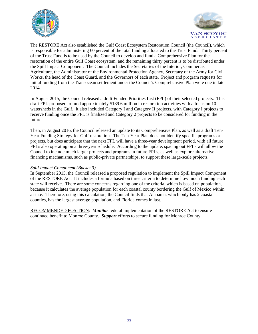



The RESTORE Act also established the Gulf Coast Ecosystem Restoration Council (the Council), which is responsible for administering 60 percent of the total funding allocated to the Trust Fund. Thirty percent of the Trust Fund is to be used by the Council to develop and fund a Comprehensive Plan for the restoration of the entire Gulf Coast ecosystem, and the remaining thirty percent is to be distributed under the Spill Impact Component. The Council includes the Secretaries of the Interior, Commerce, Agriculture, the Administrator of the Environmental Protection Agency, Secretary of the Army for Civil Works, the head of the Coast Guard, and the Governors of each state. Project and program requests for initial funding from the Transocean settlement under the Council's Comprehensive Plan were due in late 2014.

In August 2015, the Council released a draft Funded Priorities List (FPL) of their selected projects. This draft FPL proposed to fund approximately \$139.6 million in restoration activities with a focus on 10 watersheds in the Gulf. It also included Category I and Category II projects, with Category I projects to receive funding once the FPL is finalized and Category 2 projects to be considered for funding in the future.

Then, in August 2016, the Council released an update to its Comprehensive Plan, as well as a draft Ten-Year Funding Strategy for Gulf restoration. The Ten-Year Plan does not identify specific programs or projects, but does anticipate that the next FPL will have a three-year development period, with all future FPLs also operating on a three-year schedule. According to the update, spacing out FPLs will allow the Council to include much larger projects and programs in future FPLs, as well as explore alternative financing mechanisms, such as public-private partnerships, to support these large-scale projects.

### *Spill Impact Component (Bucket 3)*

In September 2015, the Council released a proposed regulation to implement the Spill Impact Component of the RESTORE Act. It includes a formula based on three criteria to determine how much funding each state will receive. There are some concerns regarding one of the criteria, which is based on population, because it calculates the average population for each coastal county bordering the Gulf of Mexico within a state. Therefore, using this calculation, the Council finds that Alabama, which only has 2 coastal counties, has the largest average population, and Florida comes in last.

RECOMMENDED POSITION: *Monitor* federal implementation of the RESTORE Act to ensure continued benefit to Monroe County. *Support* efforts to secure funding for Monroe County.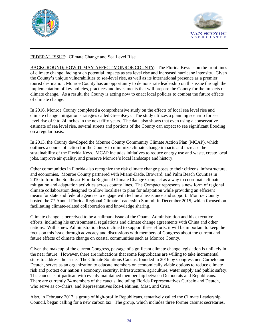



### FEDERAL ISSUE: Climate Change and Sea Level Rise

BACKGROUND; HOW IT MAY AFFECT MONROE COUNTY: The Florida Keys is on the front lines of climate change, facing such potential impacts as sea level rise and increased hurricane intensity. Given the County's unique vulnerabilities to sea-level rise, as well as its international presence as a premier tourist destination, Monroe County has an opportunity to demonstrate leadership on this issue through the implementation of key policies, practices and investments that will prepare the County for the impacts of climate change. As a result, the County is acting now to enact local policies to combat the future effects of climate change.

In 2016, Monroe County completed a comprehensive study on the effects of local sea level rise and climate change mitigation strategies called GreenKeys. The study utilizes a planning scenario for sea level rise of 9 to 24 inches in the next fifty years. The data also shows that even using a conservative estimate of sea level rise, several streets and portions of the County can expect to see significant flooding on a regular basis.

In 2013, the County developed the Monroe County Community Climate Action Plan (MCAP), which outlines a course of action for the County to minimize climate change impacts and increase the sustainability of the Florida Keys. MCAP includes initiatives to reduce energy use and waste, create local jobs, improve air quality, and preserve Monroe's local landscape and history.

Other communities in Florida also recognize the risk climate change poses to their citizens, infrastructure, and economies. Monroe County partnered with Miami-Dade, Broward, and Palm Beach Counties in 2010 to form the Southeast Florida Regional Climate Change Compact as a way to coordinate climate mitigation and adaptation activities across county lines. The Compact represents a new form of regional climate collaboration designed to allow localities to plan for adaptation while providing an efficient means for state and federal agencies to engage with technical assistance and support. Monroe County hosted the 7<sup>th</sup> Annual Florida Regional Climate Leadership Summit in December 2015, which focused on facilitating climate-related collaboration and knowledge sharing.

Climate change is perceived to be a hallmark issue of the Obama Administration and his executive efforts, including his environmental regulations and climate change agreements with China and other nations. With a new Administration less inclined to support these efforts, it will be important to keep the focus on this issue through advocacy and discussions with members of Congress about the current and future effects of climate change on coastal communities such as Monroe County.

Given the makeup of the current Congress, passage of significant climate change legislation is unlikely in the near future. However, there are indications that some Republicans are willing to take incremental steps to address the issue. The Climate Solutions Caucus, founded in 2016 by Congressmen Curbelo and Deutch, serves as an organization to educate members on economically viable options to reduce climate risk and protect our nation's economy, security, infrastructure, agriculture, water supply and public safety. The caucus is bi-partisan with evenly maintained membership between Democrats and Republicans. There are currently 24 members of the caucus, including Florida Representatives Curbelo and Deutch, who serve as co-chairs, and Representatives Ros-Lehtinen, Mast, and Crist.

Also, in February 2017, a group of high-profile Republicans, tentatively called the Climate Leadership Council, began calling for a new carbon tax. The group, which includes three former cabinet secretaries,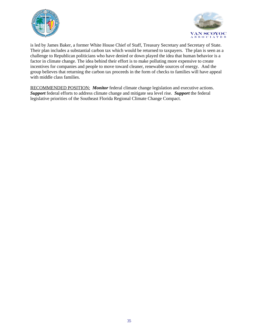



is led by James Baker, a former White House Chief of Staff, Treasury Secretary and Secretary of State. Their plan includes a substantial carbon tax which would be returned to taxpayers. The plan is seen as a challenge to Republican politicians who have denied or down played the idea that human behavior is a factor in climate change. The idea behind their effort is to make polluting more expensive to create incentives for companies and people to move toward cleaner, renewable sources of energy. And the group believes that returning the carbon tax proceeds in the form of checks to families will have appeal with middle class families.

RECOMMENDED POSITION: *Monitor* federal climate change legislation and executive actions. *Support* federal efforts to address climate change and mitigate sea level rise. *Support* the federal legislative priorities of the Southeast Florida Regional Climate Change Compact.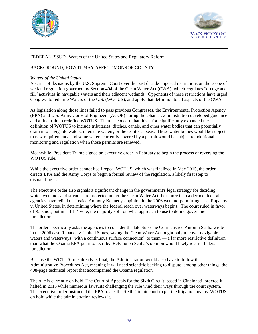



# FEDERAL ISSUE: Waters of the United States and Regulatory Reform

### BACKGROUND; HOW IT MAY AFFECT MONROE COUNTY:

#### *Waters of the United States*

A series of decisions by the U.S. Supreme Court over the past decade imposed restrictions on the scope of wetland regulation governed by Section 404 of the Clean Water Act (CWA), which regulates "dredge and fill" activities in navigable waters and their adjacent wetlands. Opponents of these restrictions have urged Congress to redefine Waters of the U.S. (WOTUS), and apply that definition to all aspects of the CWA.

As legislation along those lines failed to pass previous Congresses, the Environmental Protection Agency (EPA) and U.S. Army Corps of Engineers (ACOE) during the Obama Administration developed guidance and a final rule to redefine WOTUS. There is concern that this effort significantly expanded the definition of WOTUS to include tributaries, ditches, canals, and other water bodies that can potentially drain into navigable waters, interstate waters, or the territorial seas. These water bodies would be subject to new requirements, and some waters currently covered by a permit would be subject to additional monitoring and regulation when those permits are renewed.

Meanwhile, President Trump signed an executive order in February to begin the process of reversing the WOTUS rule.

While the executive order cannot itself repeal WOTUS, which was finalized in May 2015, the order directs EPA and the Army Corps to begin a formal review of the regulation, a likely first step to dismantling it.

The executive order also signals a significant change in the government's legal strategy for deciding which wetlands and streams are protected under the Clean Water Act. For more than a decade, federal agencies have relied on Justice Anthony Kennedy's opinion in the 2006 wetland-permitting case, Rapanos v. United States, in determining where the federal reach over waterways begins. The court ruled in favor of Rapanos, but in a 4-1-4 vote, the majority split on what approach to use to define government jurisdiction.

The order specifically asks the agencies to consider the late Supreme Court Justice Antonin Scalia wrote in the 2006 case Rapanos v. United States, saying the Clean Water Act ought only to cover navigable waters and waterways "with a continuous surface connection" to them — a far more restrictive definition than what the Obama EPA put into its rule. Relying on Scalia's opinion would likely restrict federal jurisdiction.

Because the WOTUS rule already is final, the Administration would also have to follow the Administrative Procedures Act, meaning it will need scientific backing to dispute, among other things, the 408-page technical report that accompanied the Obama regulation.

The rule is currently on hold. The Court of Appeals for the Sixth Circuit, based in Cincinnati, ordered it halted in 2015 while numerous lawsuits challenging the rule wind their ways through the court system. The executive order instructed the EPA to ask the Sixth Circuit court to put the litigation against WOTUS on hold while the administration reviews it.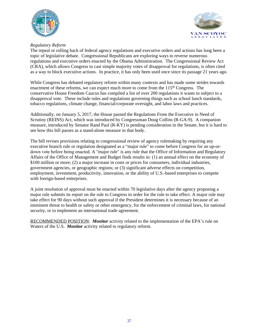



### *Regulatory Reform*

The repeal or rolling back of federal agency regulations and executive orders and actions has long been a topic of legislative debate. Congressional Republicans are exploring ways to reverse numerous regulations and executive orders enacted by the Obama Administration. The Congressional Review Act (CRA), which allows Congress to cast simple majority votes of disapproval for regulations, is often cited as a way to block executive actions. In practice, it has only been used once since its passage 21 years ago.

While Congress has debated regulatory reform within many contexts and has made some strides towards enactment of these reforms, we can expect much more to come from the  $115<sup>th</sup>$  Congress. The conservative House Freedom Caucus has compiled a list of over 200 regulations it wants to subject to a disapproval vote. These include rules and regulations governing things such as school lunch standards, tobacco regulations, climate change, financial/corporate oversight, and labor laws and practices.

Additionally, on January 5, 2017, the House passed the Regulations From the Executive in Need of Scrutiny (REINS) Act, which was introduced by Congressman Doug Collins (R-GA-9). A companion measure, introduced by Senator Rand Paul (R-KY) is pending consideration in the Senate, but it is hard to see how this bill passes as a stand-alone measure in that body.

The bill revises provisions relating to congressional review of agency rulemaking by requiring any executive branch rule or regulation designated as a "major rule" to come before Congress for an up-ordown vote before being enacted. A "major rule" is any rule that the Office of Information and Regulatory Affairs of the Office of Management and Budget finds results in: (1) an annual effect on the economy of \$100 million or more; (2) a major increase in costs or prices for consumers, individual industries, government agencies, or geographic regions; or (3) significant adverse effects on competition, employment, investment, productivity, innovation, or the ability of U.S.-based enterprises to compete with foreign-based enterprises.

A joint resolution of approval must be enacted within 70 legislative days after the agency proposing a major rule submits its report on the rule to Congress in order for the rule to take effect. A major rule may take effect for 90 days without such approval if the President determines it is necessary because of an imminent threat to health or safety or other emergency, for the enforcement of criminal laws, for national security, or to implement an international trade agreement.

RECOMMENDED POSITION: *Monitor* activity related to the implementation of the EPA's rule on Waters of the U.S. *Monitor* activity related to regulatory reform.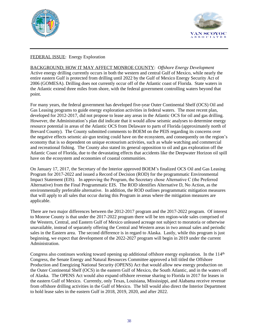



# FEDERAL ISSUE: Energy Exploration

BACKGROUND; HOW IT MAY AFFECT MONROE COUNTY: *Offshore Energy Development* Active energy drilling currently occurs in both the western and central Gulf of Mexico, while nearly the entire eastern Gulf is protected from drilling until 2022 by the Gulf of Mexico Energy Security Act of 2006 (GOMESA). Drilling does not currently occur off of the Atlantic coast of Florida. State waters in the Atlantic extend three miles from shore, with the federal government controlling waters beyond that point.

For many years, the federal government has developed five-year Outer Continental Shelf (OCS) Oil and Gas Leasing programs to guide energy exploration activities in federal waters. The most recent plan, developed for 2012-2017, did not propose to lease any areas in the Atlantic OCS for oil and gas drilling. However, the Administration's plan did indicate that it would allow seismic analyses to determine energy resource potential in areas of the Atlantic OCS from Delaware to parts of Florida (approximately north of Brevard County). The County submitted comments to BOEM on the PEIS regarding its concerns over the negative effects seismic air-gun testing could have on the ecosystem, and consequently on the region's economy that is so dependent on unique ecotourism activities, such as whale watching and commercial and recreational fishing. The County also stated its general opposition to oil and gas exploration off the Atlantic Coast of Florida, due to the devastating effects that accidents like the Deepwater Horizon oil spill have on the ecosystem and economies of coastal communities.

On January 17, 2017, the Secretary of the Interior approved BOEM's finalized OCS Oil and Gas Leasing Program for 2017-2022 and issued a Record of Decision (ROD) for the programmatic Environmental Impact Statement (EIS). In approving the Program, the Secretary chose Alternative C (the Preferred Alternative) from the Final Programmatic EIS. The ROD identifies Alternative D, No Action, as the environmentally preferable alternative. In addition, the ROD outlines programmatic mitigation measures that will apply to all sales that occur during this Program in areas where the mitigation measures are applicable.

There are two major differences between the 2012-2017 program and the 2017-2022 program. Of interest to Monroe County is that under the 2017-2022 program there will be ten region-wide sales comprised of the Western, Central, and Eastern Gulf of Mexico unleased acreage not subject to moratoria or otherwise unavailable, instead of separately offering the Central and Western areas in two annual sales and periodic sales in the Eastern area. The second difference is in regard to Alaska. Lastly, while this program is just beginning, we expect that development of the 2022-2027 program will begin in 2019 under the current Administration.

Congress also continues working toward opening up additional offshore energy exploration. In the  $114<sup>th</sup>$ Congress, the Senate Energy and Natural Resources Committee approved a bill titled the Offshore Production and Energizing National Security (OPENS) Act that would allow new energy production on the Outer Continental Shelf (OCS) in the eastern Gulf of Mexico, the South Atlantic, and in the waters off of Alaska. The OPENS Act would also expand offshore revenue sharing to Florida in 2017 for leases in the eastern Gulf of Mexico. Currently, only Texas, Louisiana, Mississippi, and Alabama receive revenue from offshore drilling activities in the Gulf of Mexico. The bill would also direct the Interior Department to hold lease sales in the eastern Gulf in 2018, 2019, 2020, and after 2022.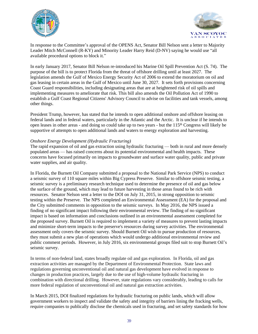



In response to the Committee's approval of the OPENS Act, Senator Bill Nelson sent a letter to Majority Leader Mitch McConnell (R-KY) and Minority Leader Harry Reid (D-NV) saying he would use "all available procedural options to block it."

In early January 2017, Senator Bill Nelson re-introduced his Marine Oil Spill Prevention Act (S. 74). The purpose of the bill is to protect Florida from the threat of offshore drilling until at least 2027. The legislation amends the Gulf of Mexico Energy Security Act of 2006 to extend the moratorium on oil and gas leasing in certain areas in the Gulf of Mexico until June 30, 2027. It sets forth provisions concerning Coast Guard responsibilities, including designating areas that are at heightened risk of oil spills and implementing measures to ameliorate that risk. This bill also amends the Oil Pollution Act of 1990 to establish a Gulf Coast Regional Citizens' Advisory Council to advise on facilities and tank vessels, among other things.

President Trump, however, has stated that he intends to open additional onshore and offshore leasing on federal lands and in federal waters, particularly in the Atlantic and the Arctic. It is unclear if he intends to open leases in other areas - and doing so could take up to two years - but the 115<sup>th</sup> Congress will likely be supportive of attempts to open additional lands and waters to energy exploration and harvesting.

### *Onshore Energy Development (Hydraulic Fracturing)*

The rapid expansion of oil and gas extraction using hydraulic fracturing — both in rural and more densely populated areas — has raised concerns about its potential environmental and health impacts. These concerns have focused primarily on impacts to groundwater and surface water quality, public and private water supplies, and air quality.

In Florida, the Burnett Oil Company submitted a proposal to the National Park Service (NPS) to conduct a seismic survey of 110 square miles within Big Cypress Preserve. Similar to offshore seismic testing, a seismic survey is a preliminary research technique used to determine the presence of oil and gas below the surface of the ground, which may lead to future harvesting in those areas found to be rich with resources. Senator Nelson sent a letter to the DOI on July 31, 2015, in strong opposition to seismic testing within the Preserve. The NPS completed an Environmental Assessment (EA) for the proposal and the City submitted comments in opposition to the seismic surveys. In May 2016, the NPS issued a finding of no significant impact following their environmental review. The finding of no significant impact is based on information and conclusions outlined in an environmental assessment completed for the proposed survey. Burnett Oil is required to implement a variety of measures to prevent lasting impacts and minimize short-term impacts to the preserve's resources during survey activities. The environmental assessment only covers the seismic survey. Should Burnett Oil wish to pursue production of resources, they must submit a new plan of operations which would undergo additional environmental review and public comment periods. However, in July 2016, six environmental groups filed suit to stop Burnett Oil's seismic survey.

In terms of non-federal land, states broadly regulate oil and gas exploration. In Florida, oil and gas extraction activities are managed by the Department of Environmental Protection. State laws and regulations governing unconventional oil and natural gas development have evolved in response to changes in production practices, largely due to the use of high-volume hydraulic fracturing in combination with directional drilling. However, state regulations vary considerably, leading to calls for more federal regulation of unconventional oil and natural gas extraction activities.

In March 2015, DOI finalized regulations for hydraulic fracturing on public lands, which will allow government workers to inspect and validate the safety and integrity of barriers lining the fracking wells, require companies to publically disclose the chemicals used in fracturing, and set safety standards for how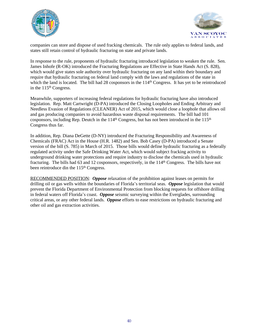



companies can store and dispose of used fracking chemicals. The rule only applies to federal lands, and states still retain control of hydraulic fracturing on state and private lands.

In response to the rule, proponents of hydraulic fracturing introduced legislation to weaken the rule. Sen. James Inhofe (R-OK) introduced the Fracturing Regulations are Effective in State Hands Act (S. 828), which would give states sole authority over hydraulic fracturing on any land within their boundary and require that hydraulic fracturing on federal land comply with the laws and regulations of the state in which the land is located. The bill had 28 cosponsors in the 114<sup>th</sup> Congress. It has yet to be reintroduced in the 115<sup>th</sup> Congress.

Meanwhile, supporters of increasing federal regulations for hydraulic fracturing have also introduced legislation. Rep. Matt Cartwright (D-PA) introduced the Closing Loopholes and Ending Arbitrary and Needless Evasion of Regulations (CLEANER) Act of 2015, which would close a loophole that allows oil and gas producing companies to avoid hazardous waste disposal requirements. The bill had 101 cosponsors, including Rep. Deutch in the 114<sup>th</sup> Congress, but has not been introduced in the 115<sup>th</sup> Congress thus far.

In addition, Rep. Diana DeGette (D-NY) introduced the Fracturing Responsibility and Awareness of Chemicals (FRAC) Act in the House (H.R. 1482) and Sen. Bob Casey (D-PA) introduced a Senate version of the bill (S. 785) in March of 2015. Those bills would define hydraulic fracturing as a federally regulated activity under the Safe Drinking Water Act, which would subject fracking activity to underground drinking water protections and require industry to disclose the chemicals used in hydraulic fracturing. The bills had 63 and 12 cosponsors, respectively, in the 114<sup>th</sup> Congress. The bills have not been reintroduce din the 115<sup>th</sup> Congress.

RECOMMENDED POSITION: *Oppose* relaxation of the prohibition against leases on permits for drilling oil or gas wells within the boundaries of Florida's territorial seas. *Oppose* legislation that would prevent the Florida Department of Environmental Protection from blocking requests for offshore drilling in federal waters off Florida's coast. *Oppose* seismic surveying within the Everglades, surrounding critical areas, or any other federal lands. *Oppose* efforts to ease restrictions on hydraulic fracturing and other oil and gas extraction activities.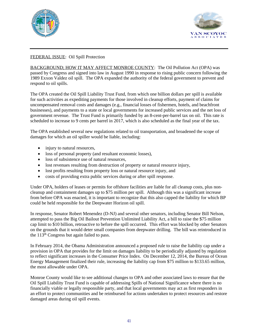



# FEDERAL ISSUE: Oil Spill Protection

BACKGROUND; HOW IT MAY AFFECT MONROE COUNTY: The Oil Pollution Act (OPA) was passed by Congress and signed into law in August 1990 in response to rising public concern following the 1989 Exxon Valdez oil spill. The OPA expanded the authority of the federal government to prevent and respond to oil spills.

The OPA created the Oil Spill Liability Trust Fund, from which one billion dollars per spill is available for such activities as expediting payments for those involved in cleanup efforts, payment of claims for uncompensated removal costs and damages (e.g., financial losses of fishermen, hotels, and beachfront businesses), and payments to a state or local governments for increased public services and the net loss of government revenue. The Trust Fund is primarily funded by an 8-cent-per-barrel tax on oil. This rate is scheduled to increase to 9 cents per barrel in 2017, which is also scheduled as the final year of the tax.

The OPA established several new regulations related to oil transportation, and broadened the scope of damages for which an oil spiller would be liable, including:

- injury to natural resources,
- loss of personal property (and resultant economic losses),
- loss of subsistence use of natural resources,
- lost revenues resulting from destruction of property or natural resource injury,
- lost profits resulting from property loss or natural resource injury, and
- costs of providing extra public services during or after spill response.

Under OPA, holders of leases or permits for offshore facilities are liable for all cleanup costs, plus noncleanup and containment damages up to \$75 million per spill. Although this was a significant increase from before OPA was enacted, it is important to recognize that this also capped the liability for which BP could be held responsible for the Deepwater Horizon oil spill.

In response, Senator Robert Menendez (D-NJ) and several other senators, including Senator Bill Nelson, attempted to pass the Big Oil Bailout Prevention Unlimited Liability Act, a bill to raise the \$75 million cap limit to \$10 billion, retroactive to before the spill occurred. This effort was blocked by other Senators on the grounds that it would deter small companies from deepwater drilling. The bill was reintroduced in the 113th Congress but again failed to pass.

In February 2014, the Obama Administration announced a proposed rule to raise the liability cap under a provision in OPA that provides for the limit on damages liability to be periodically adjusted by regulation to reflect significant increases in the Consumer Price Index. On December 12, 2014, the Bureau of Ocean Energy Management finalized their rule, increasing the liability cap from \$75 million to \$133.65 million, the most allowable under OPA.

Monroe County would like to see additional changes to OPA and other associated laws to ensure that the Oil Spill Liability Trust Fund is capable of addressing Spills of National Significance where there is no financially viable or legally responsible party, and that local governments may act as first responders in an effort to protect communities and be reimbursed for actions undertaken to protect resources and restore damaged areas during oil spill events.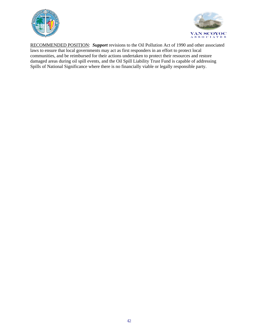



RECOMMENDED POSITION: *Support* revisions to the Oil Pollution Act of 1990 and other associated laws to ensure that local governments may act as first responders in an effort to protect local communities, and be reimbursed for their actions undertaken to protect their resources and restore damaged areas during oil spill events, and the Oil Spill Liability Trust Fund is capable of addressing Spills of National Significance where there is no financially viable or legally responsible party.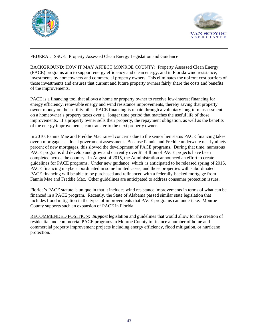



FEDERAL ISSUE: Property Assessed Clean Energy Legislation and Guidance

BACKGROUND; HOW IT MAY AFFECT MONROE COUNTY: Property Assessed Clean Energy (PACE) programs aim to support energy efficiency and clean energy, and in Florida wind resistance, investments by homeowners and commercial property owners. This eliminates the upfront cost barriers of those investments and ensures that current and future property owners fairly share the costs and benefits of the improvements.

PACE is a financing tool that allows a home or property owner to receive low-interest financing for energy efficiency, renewable energy and wind resistance improvements, thereby saving that property owner money on their utility bills. PACE financing is repaid through a voluntary long-term assessment on a homeowner's property taxes over a longer time period that matches the useful life of those improvements. If a property owner sells their property, the repayment obligation, as well as the benefits of the energy improvements, can transfer to the next property owner.

In 2010, Fannie Mae and Freddie Mac raised concerns due to the senior lien status PACE financing takes over a mortgage as a local government assessment. Because Fannie and Freddie underwrite nearly ninety percent of new mortgages, this slowed the development of PACE programs. During that time, numerous PACE programs did develop and grow and currently over \$1 Billion of PACE projects have been completed across the country. In August of 2015, the Administration announced an effort to create guidelines for PACE programs. Under new guidance, which is anticipated to be released spring of 2016, PACE financing maybe subordinated in some limited cases; and those properties with subordinated PACE financing will be able to be purchased and refinanced with a federally-backed mortgage from Fannie Mae and Freddie Mac. Other guidelines are anticipated to address consumer protection issues.

Florida's PACE statute is unique in that it includes wind resistance improvements in terms of what can be financed in a PACE program. Recently, the State of Alabama passed similar state legislation that includes flood mitigation in the types of improvements that PACE programs can undertake. Monroe County supports such an expansion of PACE in Florida.

RECOMMENDED POSITION: *Support* legislation and guidelines that would allow for the creation of residential and commercial PACE programs in Monroe County to finance a number of home and commercial property improvement projects including energy efficiency, flood mitigation, or hurricane protection.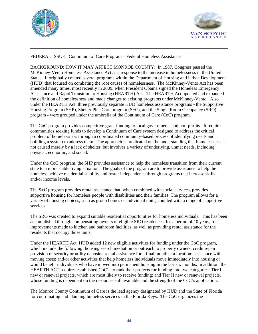



### FEDERAL ISSUE: Continuum of Care Program – Federal Homeless Assistance

BACKGROUND; HOW IT MAY AFFECT MONROE COUNTY: In 1987, Congress passed the McKinney-Vento Homeless Assistance Act as a response to the increase in homelessness in the United States. It originally created several programs within the Department of Housing and Urban Development (HUD) that focused on combating the root causes of homelessness. The McKinney-Vento Act has been amended many times, most recently in 2009, when President Obama signed the Homeless Emergency Assistance and Rapid Transition to Housing (HEARTH) Act. The HEARTH Act updated and expanded the definition of homelessness and made changes to existing programs under McKinney-Vento. Also under the HEARTH Act, three previously separate HUD homeless assistance programs - the Supportive Housing Program (SHP), Shelter Plus Care program (S+C), and the Single Room Occupancy (SRO) program - were grouped under the umbrella of the Continuum of Care (CoC) program.

The CoC program provides competitive grant funding to local governments and non-profits. It requires communities seeking funds to develop a Continuum of Care system designed to address the critical problem of homelessness through a coordinated community-based process of identifying needs and building a system to address them. The approach is predicated on the understanding that homelessness is not caused merely by a lack of shelter, but involves a variety of underlying, unmet needs, including physical, economic, and social.

Under the CoC program, the SHP provides assistance to help the homeless transition from their current state to a more stable living situation. The goals of the program are to provide assistance to help the homeless achieve residential stability and foster independence through programs that increase skills and/or income levels.

The S+C program provides rental assistance that, when combined with social services, provides supportive housing for homeless people with disabilities and their families. The program allows for a variety of housing choices, such as group homes or individual units, coupled with a range of supportive services.

The SRO was created to expand suitable residential opportunities for homeless individuals. This has been accomplished through compensating owners of eligible SRO residences, for a period of 10 years, for improvements made to kitchen and bathroom facilities, as well as providing rental assistance for the residents that occupy those units.

Under the HEARTH Act, HUD added 12 new eligible activities for funding under the CoC program, which include the following: housing search mediation or outreach to property owners; credit repair; provision of security or utility deposits; rental assistance for a final month at a location; assistance with moving costs; and/or other activities that help homeless individuals move immediately into housing or would benefit individuals who have moved into permanent housing in the last six months. In addition, the HEARTH ACT requires established CoC's to rank their projects for funding into two categories: Tier I new or renewal projects, which are most likely to receive funding; and Tier II new or renewal projects, whose funding is dependent on the resources still available and the strength of the CoC's application.

The Monroe County Continuum of Care is the lead agency designated by HUD and the State of Florida for coordinating and planning homeless services in the Florida Keys. The CoC organizes the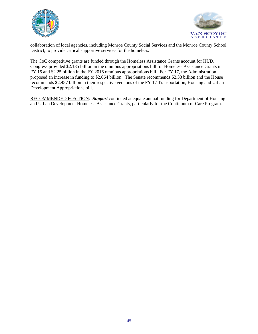



collaboration of local agencies, including Monroe County Social Services and the Monroe County School District, to provide critical supportive services for the homeless.

The CoC competitive grants are funded through the Homeless Assistance Grants account for HUD. Congress provided \$2.135 billion in the omnibus appropriations bill for Homeless Assistance Grants in FY 15 and \$2.25 billion in the FY 2016 omnibus appropriations bill. For FY 17, the Administration proposed an increase in funding to \$2.664 billion. The Senate recommends \$2.33 billion and the House recommends \$2.487 billion in their respective versions of the FY 17 Transportation, Housing and Urban Development Appropriations bill.

RECOMMENDED POSITION: *Support* continued adequate annual funding for Department of Housing and Urban Development Homeless Assistance Grants, particularly for the Continuum of Care Program.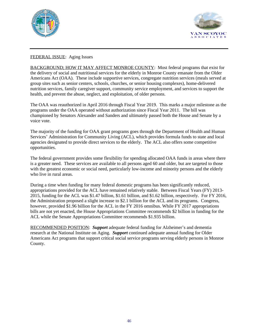



# FEDERAL ISSUE: Aging Issues

BACKGROUND; HOW IT MAY AFFECT MONROE COUNTY: Most federal programs that exist for the delivery of social and nutritional services for the elderly in Monroe County emanate from the Older Americans Act (OAA). These include supportive services, congregate nutrition services (meals served at group sites such as senior centers, schools, churches, or senior housing complexes), home-delivered nutrition services, family caregiver support, community service employment, and services to support the health, and prevent the abuse, neglect, and exploitation, of older persons.

The OAA was reauthorized in April 2016 through Fiscal Year 2019. This marks a major milestone as the programs under the OAA operated without authorization since Fiscal Year 2011. The bill was championed by Senators Alexander and Sanders and ultimately passed both the House and Senate by a voice vote.

The majority of the funding for OAA grant programs goes through the Department of Health and Human Services' Administration for Community Living (ACL), which provides formula funds to state and local agencies designated to provide direct services to the elderly. The ACL also offers some competitive opportunities.

The federal government provides some flexibility for spending allocated OAA funds in areas where there is a greater need. These services are available to all persons aged 60 and older, but are targeted to those with the greatest economic or social need, particularly low-income and minority persons and the elderly who live in rural areas.

During a time when funding for many federal domestic programs has been significantly reduced, appropriations provided for the ACL have remained relatively stable. Between Fiscal Years (FY) 2013- 2015, funding for the ACL was \$1.47 billion, \$1.61 billion, and \$1.62 billion, respectively. For FY 2016, the Administration proposed a slight increase to \$2.1 billion for the ACL and its programs. Congress, however, provided \$1.96 billion for the ACL in the FY 2016 omnibus. While FY 2017 appropriations bills are not yet enacted, the House Appropriations Committee recommends \$2 billion in funding for the ACL while the Senate Appropriations Committee recommends \$1.935 billion.

RECOMMENDED POSITION: *Support* adequate federal funding for Alzheimer's and dementia research at the National Institute on Aging. *Support* continued adequate annual funding for Older Americans Act programs that support critical social service programs serving elderly persons in Monroe County.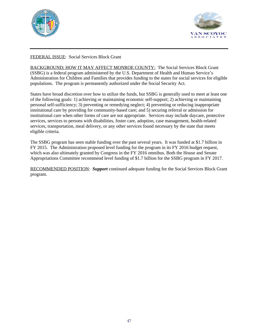



# FEDERAL ISSUE: Social Services Block Grant

BACKGROUND; HOW IT MAY AFFECT MONROE COUNTY: The Social Services Block Grant (SSBG) is a federal program administered by the U.S. Department of Health and Human Service's Administration for Children and Families that provides funding to the states for social services for eligible populations. The program is permanently authorized under the Social Security Act.

States have broad discretion over how to utilize the funds, but SSBG is generally used to meet at least one of the following goals: 1) achieving or maintaining economic self-support; 2) achieving or maintaining personal self-sufficiency; 3) preventing or remedying neglect; 4) preventing or reducing inappropriate institutional care by providing for community-based care; and 5) securing referral or admission for institutional care when other forms of care are not appropriate. Services may include daycare, protective services, services to persons with disabilities, foster care, adoption, case management, health-related services, transportation, meal delivery, or any other services found necessary by the state that meets eligible criteria.

The SSBG program has seen stable funding over the past several years. It was funded at \$1.7 billion in FY 2015. The Administration proposed level funding for the program in its FY 2016 budget request, which was also ultimately granted by Congress in the FY 2016 omnibus. Both the House and Senate Appropriations Committee recommend level funding of \$1.7 billion for the SSBG program in FY 2017.

RECOMMENDED POSITION: *Support* continued adequate funding for the Social Services Block Grant program.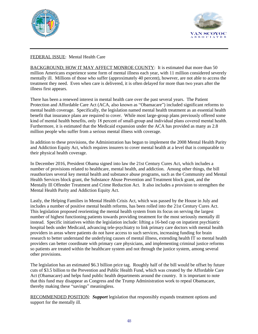



# FEDERAL ISSUE: Mental Health Care

BACKGROUND; HOW IT MAY AFFECT MONROE COUNTY: It is estimated that more than 50 million Americans experience some form of mental illness each year, with 11 million considered severely mentally ill. Millions of those who suffer (approximately 40 percent), however, are not able to access the treatment they need. Even when care is delivered, it is often delayed for more than two years after the illness first appears.

There has been a renewed interest in mental health care over the past several years. The Patient Protection and Affordable Care Act (ACA, also known as "Obamacare") included significant reforms to mental health coverage. Specifically, the legislation named mental health treatment as an essential health benefit that insurance plans are required to cover. While most large-group plans previously offered some kind of mental health benefits, only 18 percent of small-group and individual plans covered mental health. Furthermore, it is estimated that the Medicaid expansion under the ACA has provided as many as 2.8 million people who suffer from a serious mental illness with coverage.

In addition to these provisions, the Administration has begun to implement the 2008 Mental Health Parity and Addiction Equity Act, which requires insurers to cover mental health at a level that is comparable to their physical health coverage.

In December 2016, President Obama signed into law the 21st Century Cures Act, which includes a number of provisions related to healthcare, mental health, and addiction. Among other things, the bill reauthorizes several key mental health and substance abuse programs, such as the Community and Mental Health Services block grant, the Substance Abuse Prevention and Treatment block grant, and the Mentally Ill Offender Treatment and Crime Reduction Act. It also includes a provision to strengthen the Mental Health Parity and Addiction Equity Act.

Lastly, the Helping Families in Mental Health Crisis Act, which was passed by the House in July and includes a number of positive mental health reforms, has been rolled into the 21st Century Cures Act. This legislation proposed reorienting the mental health system from its focus on serving the largest number of highest functioning patients towards providing treatment for the most seriously mentally ill instead. Specific initiatives within the legislation include: lifting a 16-bed cap on inpatient psychiatric hospital beds under Medicaid, advancing tele-psychiatry to link primary care doctors with mental health providers in areas where patients do not have access to such services, increasing funding for brain research to better understand the underlying causes of mental illness, extending health IT so mental health providers can better coordinate with primary care physicians, and implementing criminal justice reforms so patients are treated within the healthcare system and not through the justice system, among several other provisions.

The legislation has an estimated \$6.3 billion price tag. Roughly half of the bill would be offset by future cuts of \$3.5 billion to the Prevention and Public Health Fund, which was created by the Affordable Care Act (Obamacare) and helps fund public health departments around the country. It is important to note that this fund may disappear as Congress and the Trump Administration work to repeal Obamacare, thereby making these "savings" meaningless.

RECOMMENDED POSITION: *Support* legislation that responsibly expands treatment options and support for the mentally ill.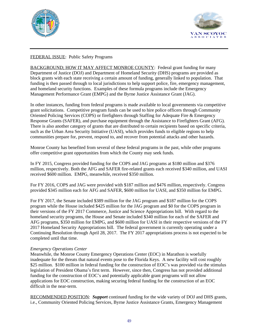



# FEDERAL ISSUE: Public Safety Programs

BACKGROUND; HOW IT MAY AFFECT MONROE COUNTY: Federal grant funding for many Department of Justice (DOJ) and Department of Homeland Security (DHS) programs are provided as block grants with each state receiving a certain amount of funding, generally linked to population. That funding is then passed through to local jurisdictions to help support police, fire, emergency management, and homeland security functions. Examples of these formula programs include the Emergency Management Performance Grant (EMPG) and the Byrne Justice Assistance Grant (JAG).

In other instances, funding from federal programs is made available to local governments via competitive grant solicitations. Competitive program funds can be used to hire police officers through Community Oriented Policing Services (COPS) or firefighters through Staffing for Adequate Fire & Emergency Response Grants (SAFER), and purchase equipment through the Assistance to Firefighters Grant (AFG). There is also another category of grants that are distributed to certain recipients based on specific criteria, such as the Urban Area Security Initiative (UASI), which provides funds to eligible regions to help communities prepare for, prevent, respond to, and recover from potential attacks and other hazards.

Monroe County has benefited from several of these federal programs in the past, while other programs offer competitive grant opportunities from which the County may seek funds.

In FY 2015, Congress provided funding for the COPS and JAG programs at \$180 million and \$376 million, respectively. Both the AFG and SAFER fire-related grants each received \$340 million, and UASI received \$600 million. EMPG, meanwhile, received \$350 million.

For FY 2016, COPS and JAG were provided with \$187 million and \$476 million, respectively. Congress provided \$345 million each for AFG and SAFER, \$600 million for UASI, and \$350 million for EMPG.

For FY 2017, the Senate included \$389 million for the JAG program and \$187 million for the COPS program while the House included \$425 million for the JAG program and \$0 for the COPS program in their versions of the FY 2017 Commerce, Justice and Science Appropriations bill. With regard to the homeland security programs, the House and Senate included \$340 million for each of the SAFER and AFG programs, \$350 million for EMPG, and \$600 million for UASI in their respective versions of the FY 2017 Homeland Security Appropriations bill. The federal government is currently operating under a Continuing Resolution through April 28, 2017. The FY 2017 appropriations process is not expected to be completed until that time.

### *Emergency Operations Center*

Meanwhile, the Monroe County Emergency Operations Center (EOC) in Marathon is woefully inadequate for the threats that natural events pose to the Florida Keys. A new facility will cost roughly \$25 million. \$100 million in federal funding for the construction of EOC's was provided via the stimulus legislation of President Obama's first term. However, since then, Congress has not provided additional funding for the construction of EOC's and potentially applicable grant programs will not allow applications for EOC construction, making securing federal funding for the construction of an EOC difficult in the near-term.

RECOMMENDED POSITION: *Support* continued funding for the wide variety of DOJ and DHS grants, i.e., Community Oriented Policing Services, Byrne Justice Assistance Grants, Emergency Management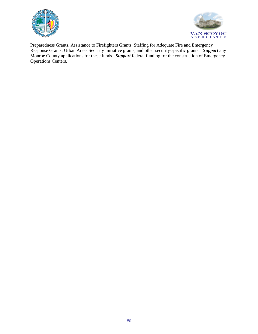



Preparedness Grants, Assistance to Firefighters Grants, Staffing for Adequate Fire and Emergency Response Grants, Urban Areas Security Initiative grants, and other security-specific grants. *Support* any Monroe County applications for these funds. *Support* federal funding for the construction of Emergency Operations Centers.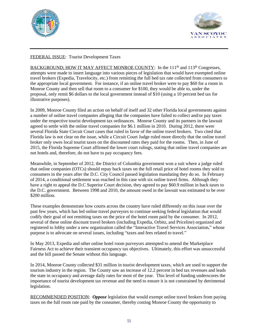



# FEDERAL ISSUE: Tourist Development Taxes

BACKGROUND; HOW IT MAY AFFECT MONROE COUNTY: In the 111<sup>th</sup> and 113<sup>th</sup> Congresses, attempts were made to insert language into various pieces of legislation that would have exempted online travel brokers (Expedia, Travelocity, etc.) from remitting the full bed tax rate collected from consumers to the appropriate local government. For instance, if an online travel broker were to pay \$60 for a room in Monroe County and then sell that room to a consumer for \$100, they would be able to, under the proposal, only remit \$6 dollars to the local government instead of \$10 (using a 10 percent bed tax for illustrative purposes).

In 2009, Monroe County filed an action on behalf of itself and 32 other Florida local governments against a number of online travel companies alleging that the companies have failed to collect and/or pay taxes under the respective tourist development tax ordinances. Monroe County and its partners in the lawsuit agreed to settle with the online travel companies for \$6.1 million in 2010. During 2012, there were several Florida State Circuit Court cases that ruled in favor of the online travel brokers. Two cited that Florida law is not clear on the issue, while a Circuit Court Judge ruled more directly that the online travel broker only owes local tourist taxes on the discounted rates they paid for the rooms. Then, in June of 2015, the Florida Supreme Court affirmed the lower court rulings, stating that online travel companies are not hotels and, therefore, do not have to pay occupancy fees.

Meanwhile, in September of 2012, the District of Columbia government won a suit where a judge ruled that online companies (OTCs) should repay back taxes on the full retail price of hotel rooms they sold to consumers in the years after the D.C. City Council passed legislation mandating they do so. In February of 2014, a conditional settlement was reached in this case with six online travel firms. Although they have a right to appeal the D.C Superior Court decision, they agreed to pay \$60.9 million in back taxes to the D.C. government. Between 1998 and 2010, the amount owed in the lawsuit was estimated to be over \$200 million.

These examples demonstrate how courts across the country have ruled differently on this issue over the past few years, which has led online travel purveyors to continue seeking federal legislation that would codify their goal of not remitting taxes on the price of the hotel room paid by the consumer. In 2012, several of these online discount travel brokers (including Expedia, Orbitz, and Priceline) organized and registered to lobby under a new organization called the "Interactive Travel Services Association," whose purpose is to advocate on several issues, including "taxes and fees related to travel."

In May 2013, Expedia and other online hotel room purveyors attempted to amend the Marketplace Fairness Act to achieve their transient occupancy tax objectives. Ultimately, this effort was unsuccessful and the bill passed the Senate without this language.

In 2014, Monroe County collected \$31 million in tourist development taxes, which are used to support the tourism industry in the region. The County saw an increase of 12.2 percent in bed tax revenues and leads the state in occupancy and average daily rates for most of the year. This level of funding underscores the importance of tourist development tax revenue and the need to ensure it is not constrained by detrimental legislation.

RECOMMENDED POSITION: *Oppose* legislation that would exempt online travel brokers from paying taxes on the full room rate paid by the consumer, thereby costing Monroe County the opportunity to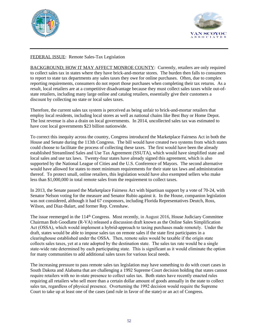



# FEDERAL ISSUE: Remote Sales-Tax Legislation

BACKGROUND; HOW IT MAY AFFECT MONROE COUNTY: Currently, retailers are only required to collect sales tax in states where they have brick-and-mortar stores. The burden then falls to consumers to report to state tax departments any sales taxes they owe for online purchases. Often, due to complex reporting requirements, consumers do not report those purchases when completing their tax returns. As a result, local retailers are at a competitive disadvantage because they must collect sales taxes while out-ofstate retailers, including many large online and catalog retailers, essentially give their customers a discount by collecting no state or local sales taxes.

Therefore, the current sales tax system is perceived as being unfair to brick-and-mortar retailers that employ local residents, including local stores as well as national chains like Best Buy or Home Depot. The lost revenue is also a drain on local governments. In 2014, uncollected sales tax was estimated to have cost local governments \$23 billion nationwide.

To correct this inequity across the country, Congress introduced the Marketplace Fairness Act in both the House and Senate during the 113th Congress. The bill would have created two systems from which states could choose to facilitate the process of collecting these taxes. The first would have been the already established Streamlined Sales and Use Tax Agreement (SSUTA), which would have simplified state and local sales and use tax laws. Twenty-four states have already signed this agreement, which is also supported by the National League of Cities and the U.S. Conference of Mayors. The second alternative would have allowed for states to meet minimum requirements for their state tax laws and administration thereof. To protect small, online retailers, this legislation would have also exempted sellers who make less than \$1,000,000 in total remote sales from the requirement to collect taxes.

In 2013, the Senate passed the Marketplace Fairness Act with bipartisan support by a vote of 70-24, with Senator Nelson voting for the measure and Senator Rubio against it. In the House, companion legislation was not considered, although it had 67 cosponsors, including Florida Representatives Deutch, Ross, Wilson, and Diaz-Balart, and former Rep. Crenshaw.

The issue reemerged in the 114<sup>th</sup> Congress. Most recently, in August 2016, House Judiciary Committee Chairman Bob Goodlatte (R-VA) released a discussion draft known as the Online Sales Simplification Act (OSSA), which would implement a hybrid-approach to taxing purchases made remotely. Under the draft, states would be able to impose sales tax on remote sales if the state first participates in a clearinghouse established under the OSSA. Then, remote sales would be taxable if the origin state collects sales taxes, yet at a rate adopted by the destination state. The sales tax rate would be a single state-wide rate determined by each participating state. This is significant as it would eliminate the option for many communities to add additional sales taxes for various local needs.

The increasing pressure to pass remote sales tax legislation may have something to do with court cases in South Dakota and Alabama that are challenging a 1992 Supreme Court decision holding that states cannot require retailers with no in-state presence to collect sales tax. Both states have recently enacted rules requiring all retailers who sell more than a certain dollar amount of goods annually in the state to collect sales tax, regardless of physical presence. Overturning the 1992 decision would require the Supreme Court to take up at least one of the cases (and rule in favor of the state) or an act of Congress.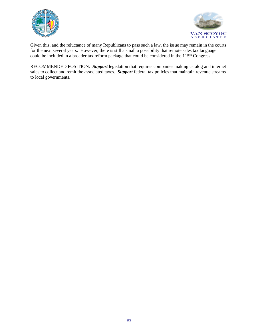



Given this, and the reluctance of many Republicans to pass such a law, the issue may remain in the courts for the next several years. However, there is still a small a possibility that remote sales tax language could be included in a broader tax reform package that could be considered in the 115<sup>th</sup> Congress.

RECOMMENDED POSITION: *Support* legislation that requires companies making catalog and internet sales to collect and remit the associated taxes. *Support* federal tax policies that maintain revenue streams to local governments.